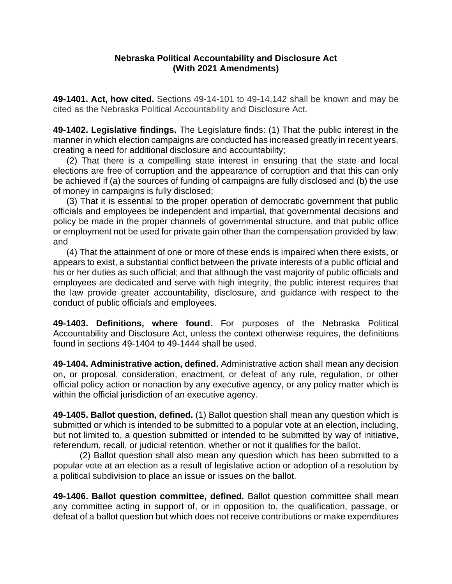#### **Nebraska Political Accountability and Disclosure Act (With 2021 Amendments)**

**49-1401. Act, how cited.** Sections 49-14-101 to 49-14,142 shall be known and may be cited as the Nebraska Political Accountability and Disclosure Act.

**49-1402. Legislative findings.** The Legislature finds: (1) That the public interest in the manner in which election campaigns are conducted has increased greatly in recent years, creating a need for additional disclosure and accountability;

(2) That there is a compelling state interest in ensuring that the state and local elections are free of corruption and the appearance of corruption and that this can only be achieved if (a) the sources of funding of campaigns are fully disclosed and (b) the use of money in campaigns is fully disclosed;

(3) That it is essential to the proper operation of democratic government that public officials and employees be independent and impartial, that governmental decisions and policy be made in the proper channels of governmental structure, and that public office or employment not be used for private gain other than the compensation provided by law; and

(4) That the attainment of one or more of these ends is impaired when there exists, or appears to exist, a substantial conflict between the private interests of a public official and his or her duties as such official; and that although the vast majority of public officials and employees are dedicated and serve with high integrity, the public interest requires that the law provide greater accountability, disclosure, and guidance with respect to the conduct of public officials and employees.

**49-1403. Definitions, where found.** For purposes of the Nebraska Political Accountability and Disclosure Act, unless the context otherwise requires, the definitions found in sections 49-1404 to 49-1444 shall be used.

**49-1404. Administrative action, defined.** Administrative action shall mean any decision on, or proposal, consideration, enactment, or defeat of any rule, regulation, or other official policy action or nonaction by any executive agency, or any policy matter which is within the official jurisdiction of an executive agency.

**49-1405. Ballot question, defined.** (1) Ballot question shall mean any question which is submitted or which is intended to be submitted to a popular vote at an election, including, but not limited to, a question submitted or intended to be submitted by way of initiative, referendum, recall, or judicial retention, whether or not it qualifies for the ballot.

(2) Ballot question shall also mean any question which has been submitted to a popular vote at an election as a result of legislative action or adoption of a resolution by a political subdivision to place an issue or issues on the ballot.

**49-1406. Ballot question committee, defined.** Ballot question committee shall mean any committee acting in support of, or in opposition to, the qualification, passage, or defeat of a ballot question but which does not receive contributions or make expenditures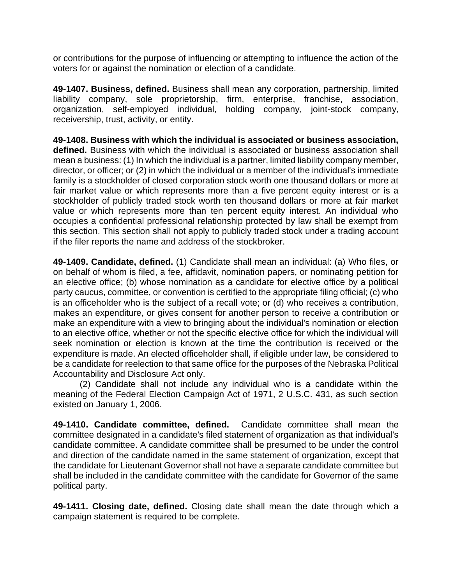or contributions for the purpose of influencing or attempting to influence the action of the voters for or against the nomination or election of a candidate.

**49-1407. Business, defined.** Business shall mean any corporation, partnership, limited liability company, sole proprietorship, firm, enterprise, franchise, association, organization, self-employed individual, holding company, joint-stock company, receivership, trust, activity, or entity.

**49-1408. Business with which the individual is associated or business association, defined.** Business with which the individual is associated or business association shall mean a business: (1) In which the individual is a partner, limited liability company member, director, or officer; or (2) in which the individual or a member of the individual's immediate family is a stockholder of closed corporation stock worth one thousand dollars or more at fair market value or which represents more than a five percent equity interest or is a stockholder of publicly traded stock worth ten thousand dollars or more at fair market value or which represents more than ten percent equity interest. An individual who occupies a confidential professional relationship protected by law shall be exempt from this section. This section shall not apply to publicly traded stock under a trading account if the filer reports the name and address of the stockbroker.

**49-1409. Candidate, defined.** (1) Candidate shall mean an individual: (a) Who files, or on behalf of whom is filed, a fee, affidavit, nomination papers, or nominating petition for an elective office; (b) whose nomination as a candidate for elective office by a political party caucus, committee, or convention is certified to the appropriate filing official; (c) who is an officeholder who is the subject of a recall vote; or (d) who receives a contribution, makes an expenditure, or gives consent for another person to receive a contribution or make an expenditure with a view to bringing about the individual's nomination or election to an elective office, whether or not the specific elective office for which the individual will seek nomination or election is known at the time the contribution is received or the expenditure is made. An elected officeholder shall, if eligible under law, be considered to be a candidate for reelection to that same office for the purposes of the Nebraska Political Accountability and Disclosure Act only.

(2) Candidate shall not include any individual who is a candidate within the meaning of the Federal Election Campaign Act of 1971, 2 U.S.C. 431, as such section existed on January 1, 2006.

**49-1410. Candidate committee, defined.** Candidate committee shall mean the committee designated in a candidate's filed statement of organization as that individual's candidate committee. A candidate committee shall be presumed to be under the control and direction of the candidate named in the same statement of organization, except that the candidate for Lieutenant Governor shall not have a separate candidate committee but shall be included in the candidate committee with the candidate for Governor of the same political party.

**49-1411. Closing date, defined.** Closing date shall mean the date through which a campaign statement is required to be complete.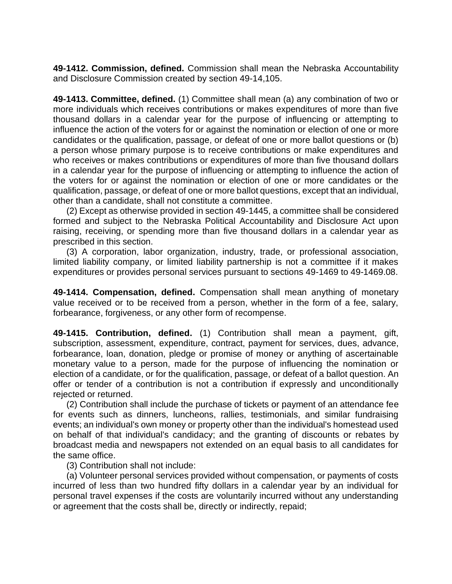**49-1412. Commission, defined.** Commission shall mean the Nebraska Accountability and Disclosure Commission created by section 49-14,105.

**49-1413. Committee, defined.** (1) Committee shall mean (a) any combination of two or more individuals which receives contributions or makes expenditures of more than five thousand dollars in a calendar year for the purpose of influencing or attempting to influence the action of the voters for or against the nomination or election of one or more candidates or the qualification, passage, or defeat of one or more ballot questions or (b) a person whose primary purpose is to receive contributions or make expenditures and who receives or makes contributions or expenditures of more than five thousand dollars in a calendar year for the purpose of influencing or attempting to influence the action of the voters for or against the nomination or election of one or more candidates or the qualification, passage, or defeat of one or more ballot questions, except that an individual, other than a candidate, shall not constitute a committee.

(2) Except as otherwise provided in section 49-1445, a committee shall be considered formed and subject to the Nebraska Political Accountability and Disclosure Act upon raising, receiving, or spending more than five thousand dollars in a calendar year as prescribed in this section.

(3) A corporation, labor organization, industry, trade, or professional association, limited liability company, or limited liability partnership is not a committee if it makes expenditures or provides personal services pursuant to sections 49-1469 to 49-1469.08.

**49-1414. Compensation, defined.** Compensation shall mean anything of monetary value received or to be received from a person, whether in the form of a fee, salary, forbearance, forgiveness, or any other form of recompense.

**49-1415. Contribution, defined.** (1) Contribution shall mean a payment, gift, subscription, assessment, expenditure, contract, payment for services, dues, advance, forbearance, loan, donation, pledge or promise of money or anything of ascertainable monetary value to a person, made for the purpose of influencing the nomination or election of a candidate, or for the qualification, passage, or defeat of a ballot question. An offer or tender of a contribution is not a contribution if expressly and unconditionally rejected or returned.

(2) Contribution shall include the purchase of tickets or payment of an attendance fee for events such as dinners, luncheons, rallies, testimonials, and similar fundraising events; an individual's own money or property other than the individual's homestead used on behalf of that individual's candidacy; and the granting of discounts or rebates by broadcast media and newspapers not extended on an equal basis to all candidates for the same office.

(3) Contribution shall not include:

(a) Volunteer personal services provided without compensation, or payments of costs incurred of less than two hundred fifty dollars in a calendar year by an individual for personal travel expenses if the costs are voluntarily incurred without any understanding or agreement that the costs shall be, directly or indirectly, repaid;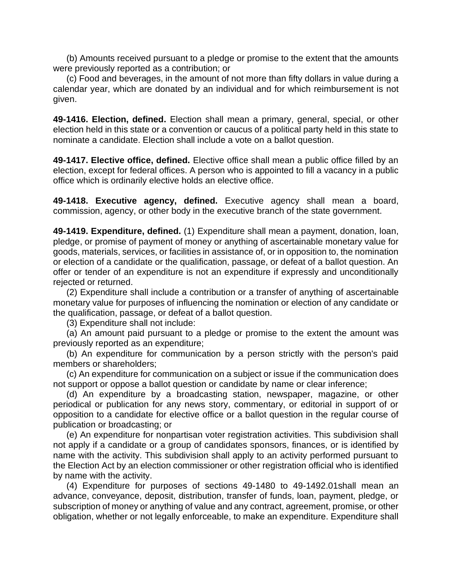(b) Amounts received pursuant to a pledge or promise to the extent that the amounts were previously reported as a contribution; or

(c) Food and beverages, in the amount of not more than fifty dollars in value during a calendar year, which are donated by an individual and for which reimbursement is not given.

**49-1416. Election, defined.** Election shall mean a primary, general, special, or other election held in this state or a convention or caucus of a political party held in this state to nominate a candidate. Election shall include a vote on a ballot question.

**49-1417. Elective office, defined.** Elective office shall mean a public office filled by an election, except for federal offices. A person who is appointed to fill a vacancy in a public office which is ordinarily elective holds an elective office.

**49-1418. Executive agency, defined.** Executive agency shall mean a board, commission, agency, or other body in the executive branch of the state government.

**49-1419. Expenditure, defined.** (1) Expenditure shall mean a payment, donation, loan, pledge, or promise of payment of money or anything of ascertainable monetary value for goods, materials, services, or facilities in assistance of, or in opposition to, the nomination or election of a candidate or the qualification, passage, or defeat of a ballot question. An offer or tender of an expenditure is not an expenditure if expressly and unconditionally rejected or returned.

(2) Expenditure shall include a contribution or a transfer of anything of ascertainable monetary value for purposes of influencing the nomination or election of any candidate or the qualification, passage, or defeat of a ballot question.

(3) Expenditure shall not include:

(a) An amount paid pursuant to a pledge or promise to the extent the amount was previously reported as an expenditure;

(b) An expenditure for communication by a person strictly with the person's paid members or shareholders;

(c) An expenditure for communication on a subject or issue if the communication does not support or oppose a ballot question or candidate by name or clear inference;

(d) An expenditure by a broadcasting station, newspaper, magazine, or other periodical or publication for any news story, commentary, or editorial in support of or opposition to a candidate for elective office or a ballot question in the regular course of publication or broadcasting; or

(e) An expenditure for nonpartisan voter registration activities. This subdivision shall not apply if a candidate or a group of candidates sponsors, finances, or is identified by name with the activity. This subdivision shall apply to an activity performed pursuant to the Election Act by an election commissioner or other registration official who is identified by name with the activity.

(4) Expenditure for purposes of sections 49-1480 to 49-1492.01shall mean an advance, conveyance, deposit, distribution, transfer of funds, loan, payment, pledge, or subscription of money or anything of value and any contract, agreement, promise, or other obligation, whether or not legally enforceable, to make an expenditure. Expenditure shall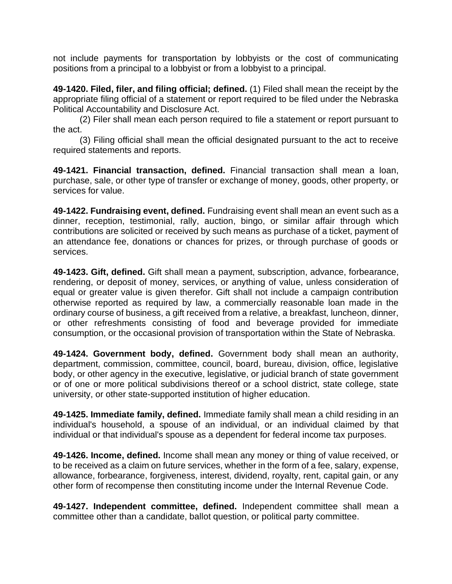not include payments for transportation by lobbyists or the cost of communicating positions from a principal to a lobbyist or from a lobbyist to a principal.

**49-1420. Filed, filer, and filing official; defined.** (1) Filed shall mean the receipt by the appropriate filing official of a statement or report required to be filed under the Nebraska Political Accountability and Disclosure Act.

(2) Filer shall mean each person required to file a statement or report pursuant to the act.

(3) Filing official shall mean the official designated pursuant to the act to receive required statements and reports.

**49-1421. Financial transaction, defined.** Financial transaction shall mean a loan, purchase, sale, or other type of transfer or exchange of money, goods, other property, or services for value.

**49-1422. Fundraising event, defined.** Fundraising event shall mean an event such as a dinner, reception, testimonial, rally, auction, bingo, or similar affair through which contributions are solicited or received by such means as purchase of a ticket, payment of an attendance fee, donations or chances for prizes, or through purchase of goods or services.

**49-1423. Gift, defined.** Gift shall mean a payment, subscription, advance, forbearance, rendering, or deposit of money, services, or anything of value, unless consideration of equal or greater value is given therefor. Gift shall not include a campaign contribution otherwise reported as required by law, a commercially reasonable loan made in the ordinary course of business, a gift received from a relative, a breakfast, luncheon, dinner, or other refreshments consisting of food and beverage provided for immediate consumption, or the occasional provision of transportation within the State of Nebraska.

**49-1424. Government body, defined.** Government body shall mean an authority, department, commission, committee, council, board, bureau, division, office, legislative body, or other agency in the executive, legislative, or judicial branch of state government or of one or more political subdivisions thereof or a school district, state college, state university, or other state-supported institution of higher education.

**49-1425. Immediate family, defined.** Immediate family shall mean a child residing in an individual's household, a spouse of an individual, or an individual claimed by that individual or that individual's spouse as a dependent for federal income tax purposes.

**49-1426. Income, defined.** Income shall mean any money or thing of value received, or to be received as a claim on future services, whether in the form of a fee, salary, expense, allowance, forbearance, forgiveness, interest, dividend, royalty, rent, capital gain, or any other form of recompense then constituting income under the Internal Revenue Code.

**49-1427. Independent committee, defined.** Independent committee shall mean a committee other than a candidate, ballot question, or political party committee.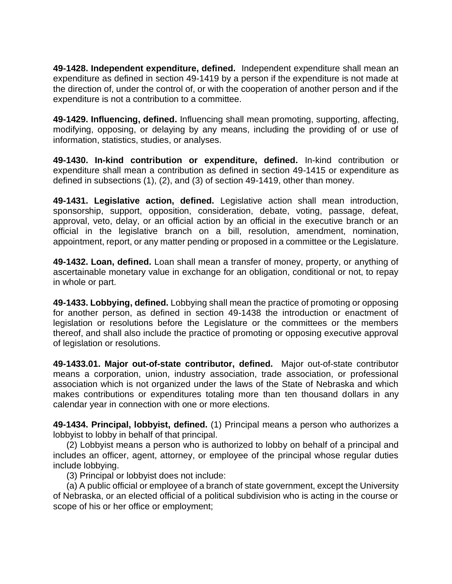**49-1428. Independent expenditure, defined.** Independent expenditure shall mean an expenditure as defined in section 49-1419 by a person if the expenditure is not made at the direction of, under the control of, or with the cooperation of another person and if the expenditure is not a contribution to a committee.

**49-1429. Influencing, defined.** Influencing shall mean promoting, supporting, affecting, modifying, opposing, or delaying by any means, including the providing of or use of information, statistics, studies, or analyses.

**49-1430. In-kind contribution or expenditure, defined.** In-kind contribution or expenditure shall mean a contribution as defined in section 49-1415 or expenditure as defined in subsections (1), (2), and (3) of section 49-1419, other than money.

**49-1431. Legislative action, defined.** Legislative action shall mean introduction, sponsorship, support, opposition, consideration, debate, voting, passage, defeat, approval, veto, delay, or an official action by an official in the executive branch or an official in the legislative branch on a bill, resolution, amendment, nomination, appointment, report, or any matter pending or proposed in a committee or the Legislature.

**49-1432. Loan, defined.** Loan shall mean a transfer of money, property, or anything of ascertainable monetary value in exchange for an obligation, conditional or not, to repay in whole or part.

**49-1433. Lobbying, defined.** Lobbying shall mean the practice of promoting or opposing for another person, as defined in section 49-1438 the introduction or enactment of legislation or resolutions before the Legislature or the committees or the members thereof, and shall also include the practice of promoting or opposing executive approval of legislation or resolutions.

**49-1433.01. Major out-of-state contributor, defined.** Major out-of-state contributor means a corporation, union, industry association, trade association, or professional association which is not organized under the laws of the State of Nebraska and which makes contributions or expenditures totaling more than ten thousand dollars in any calendar year in connection with one or more elections.

**49-1434. Principal, lobbyist, defined.** (1) Principal means a person who authorizes a lobbyist to lobby in behalf of that principal.

(2) Lobbyist means a person who is authorized to lobby on behalf of a principal and includes an officer, agent, attorney, or employee of the principal whose regular duties include lobbying.

(3) Principal or lobbyist does not include:

(a) A public official or employee of a branch of state government, except the University of Nebraska, or an elected official of a political subdivision who is acting in the course or scope of his or her office or employment;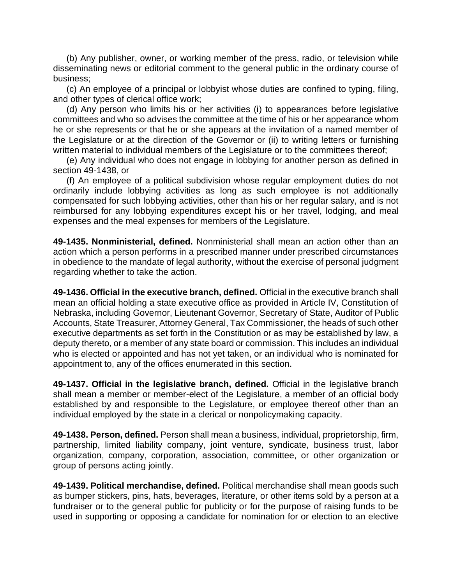(b) Any publisher, owner, or working member of the press, radio, or television while disseminating news or editorial comment to the general public in the ordinary course of business;

(c) An employee of a principal or lobbyist whose duties are confined to typing, filing, and other types of clerical office work;

(d) Any person who limits his or her activities (i) to appearances before legislative committees and who so advises the committee at the time of his or her appearance whom he or she represents or that he or she appears at the invitation of a named member of the Legislature or at the direction of the Governor or (ii) to writing letters or furnishing written material to individual members of the Legislature or to the committees thereof;

(e) Any individual who does not engage in lobbying for another person as defined in section 49-1438, or

(f) An employee of a political subdivision whose regular employment duties do not ordinarily include lobbying activities as long as such employee is not additionally compensated for such lobbying activities, other than his or her regular salary, and is not reimbursed for any lobbying expenditures except his or her travel, lodging, and meal expenses and the meal expenses for members of the Legislature.

**49-1435. Nonministerial, defined.** Nonministerial shall mean an action other than an action which a person performs in a prescribed manner under prescribed circumstances in obedience to the mandate of legal authority, without the exercise of personal judgment regarding whether to take the action.

**49-1436. Official in the executive branch, defined.** Official in the executive branch shall mean an official holding a state executive office as provided in Article IV, Constitution of Nebraska, including Governor, Lieutenant Governor, Secretary of State, Auditor of Public Accounts, State Treasurer, Attorney General, Tax Commissioner, the heads of such other executive departments as set forth in the Constitution or as may be established by law, a deputy thereto, or a member of any state board or commission. This includes an individual who is elected or appointed and has not yet taken, or an individual who is nominated for appointment to, any of the offices enumerated in this section.

**49-1437. Official in the legislative branch, defined.** Official in the legislative branch shall mean a member or member-elect of the Legislature, a member of an official body established by and responsible to the Legislature, or employee thereof other than an individual employed by the state in a clerical or nonpolicymaking capacity.

**49-1438. Person, defined.** Person shall mean a business, individual, proprietorship, firm, partnership, limited liability company, joint venture, syndicate, business trust, labor organization, company, corporation, association, committee, or other organization or group of persons acting jointly.

**49-1439. Political merchandise, defined.** Political merchandise shall mean goods such as bumper stickers, pins, hats, beverages, literature, or other items sold by a person at a fundraiser or to the general public for publicity or for the purpose of raising funds to be used in supporting or opposing a candidate for nomination for or election to an elective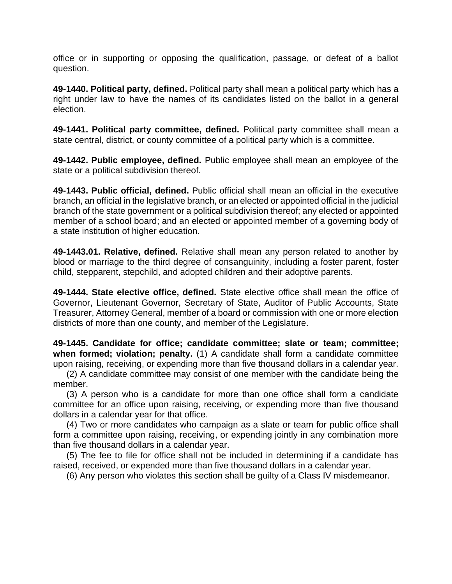office or in supporting or opposing the qualification, passage, or defeat of a ballot question.

**49-1440. Political party, defined.** Political party shall mean a political party which has a right under law to have the names of its candidates listed on the ballot in a general election.

**49-1441. Political party committee, defined.** Political party committee shall mean a state central, district, or county committee of a political party which is a committee.

**49-1442. Public employee, defined.** Public employee shall mean an employee of the state or a political subdivision thereof.

**49-1443. Public official, defined.** Public official shall mean an official in the executive branch, an official in the legislative branch, or an elected or appointed official in the judicial branch of the state government or a political subdivision thereof; any elected or appointed member of a school board; and an elected or appointed member of a governing body of a state institution of higher education.

**49-1443.01. Relative, defined.** Relative shall mean any person related to another by blood or marriage to the third degree of consanguinity, including a foster parent, foster child, stepparent, stepchild, and adopted children and their adoptive parents.

**49-1444. State elective office, defined.** State elective office shall mean the office of Governor, Lieutenant Governor, Secretary of State, Auditor of Public Accounts, State Treasurer, Attorney General, member of a board or commission with one or more election districts of more than one county, and member of the Legislature.

**49-1445. Candidate for office; candidate committee; slate or team; committee; when formed; violation; penalty.** (1) A candidate shall form a candidate committee upon raising, receiving, or expending more than five thousand dollars in a calendar year.

(2) A candidate committee may consist of one member with the candidate being the member.

(3) A person who is a candidate for more than one office shall form a candidate committee for an office upon raising, receiving, or expending more than five thousand dollars in a calendar year for that office.

(4) Two or more candidates who campaign as a slate or team for public office shall form a committee upon raising, receiving, or expending jointly in any combination more than five thousand dollars in a calendar year.

(5) The fee to file for office shall not be included in determining if a candidate has raised, received, or expended more than five thousand dollars in a calendar year.

(6) Any person who violates this section shall be guilty of a Class IV misdemeanor.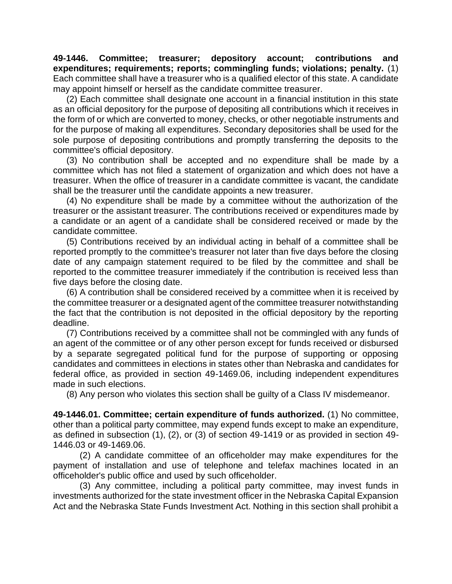**49-1446. Committee; treasurer; depository account; contributions and expenditures; requirements; reports; commingling funds; violations; penalty.** (1) Each committee shall have a treasurer who is a qualified elector of this state. A candidate may appoint himself or herself as the candidate committee treasurer.

(2) Each committee shall designate one account in a financial institution in this state as an official depository for the purpose of depositing all contributions which it receives in the form of or which are converted to money, checks, or other negotiable instruments and for the purpose of making all expenditures. Secondary depositories shall be used for the sole purpose of depositing contributions and promptly transferring the deposits to the committee's official depository.

(3) No contribution shall be accepted and no expenditure shall be made by a committee which has not filed a statement of organization and which does not have a treasurer. When the office of treasurer in a candidate committee is vacant, the candidate shall be the treasurer until the candidate appoints a new treasurer.

(4) No expenditure shall be made by a committee without the authorization of the treasurer or the assistant treasurer. The contributions received or expenditures made by a candidate or an agent of a candidate shall be considered received or made by the candidate committee.

(5) Contributions received by an individual acting in behalf of a committee shall be reported promptly to the committee's treasurer not later than five days before the closing date of any campaign statement required to be filed by the committee and shall be reported to the committee treasurer immediately if the contribution is received less than five days before the closing date.

(6) A contribution shall be considered received by a committee when it is received by the committee treasurer or a designated agent of the committee treasurer notwithstanding the fact that the contribution is not deposited in the official depository by the reporting deadline.

(7) Contributions received by a committee shall not be commingled with any funds of an agent of the committee or of any other person except for funds received or disbursed by a separate segregated political fund for the purpose of supporting or opposing candidates and committees in elections in states other than Nebraska and candidates for federal office, as provided in section 49-1469.06, including independent expenditures made in such elections.

(8) Any person who violates this section shall be guilty of a Class IV misdemeanor.

**49-1446.01. Committee; certain expenditure of funds authorized.** (1) No committee, other than a political party committee, may expend funds except to make an expenditure, as defined in subsection (1), (2), or (3) of section 49-1419 or as provided in section 49- 1446.03 or 49-1469.06.

(2) A candidate committee of an officeholder may make expenditures for the payment of installation and use of telephone and telefax machines located in an officeholder's public office and used by such officeholder.

(3) Any committee, including a political party committee, may invest funds in investments authorized for the state investment officer in the Nebraska Capital Expansion Act and the Nebraska State Funds Investment Act. Nothing in this section shall prohibit a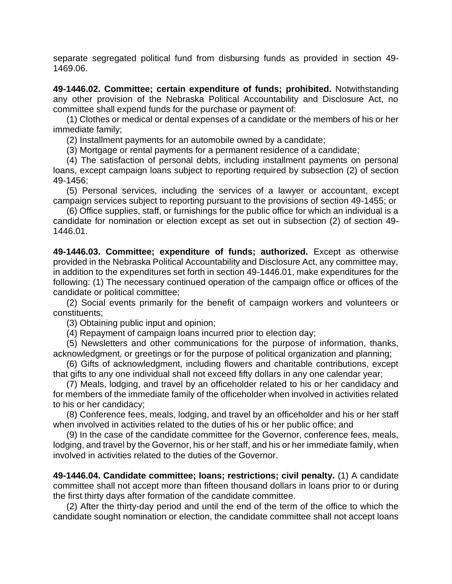separate segregated political fund from disbursing funds as provided in section 49- 1469.06.

**49-1446.02. Committee; certain expenditure of funds; prohibited.** Notwithstanding any other provision of the Nebraska Political Accountability and Disclosure Act, no committee shall expend funds for the purchase or payment of:

(1) Clothes or medical or dental expenses of a candidate or the members of his or her immediate family;

(2) Installment payments for an automobile owned by a candidate;

(3) Mortgage or rental payments for a permanent residence of a candidate;

(4) The satisfaction of personal debts, including installment payments on personal loans, except campaign loans subject to reporting required by subsection (2) of section 49-1456;

(5) Personal services, including the services of a lawyer or accountant, except campaign services subject to reporting pursuant to the provisions of section 49-1455; or

(6) Office supplies, staff, or furnishings for the public office for which an individual is a candidate for nomination or election except as set out in subsection (2) of section 49- 1446.01.

**49-1446.03. Committee; expenditure of funds; authorized.** Except as otherwise provided in the Nebraska Political Accountability and Disclosure Act, any committee may, in addition to the expenditures set forth in section 49-1446.01, make expenditures for the following: (1) The necessary continued operation of the campaign office or offices of the candidate or political committee;

(2) Social events primarily for the benefit of campaign workers and volunteers or constituents;

(3) Obtaining public input and opinion;

(4) Repayment of campaign loans incurred prior to election day;

(5) Newsletters and other communications for the purpose of information, thanks, acknowledgment, or greetings or for the purpose of political organization and planning;

(6) Gifts of acknowledgment, including flowers and charitable contributions, except that gifts to any one individual shall not exceed fifty dollars in any one calendar year;

(7) Meals, lodging, and travel by an officeholder related to his or her candidacy and for members of the immediate family of the officeholder when involved in activities related to his or her candidacy;

(8) Conference fees, meals, lodging, and travel by an officeholder and his or her staff when involved in activities related to the duties of his or her public office; and

(9) In the case of the candidate committee for the Governor, conference fees, meals, lodging, and travel by the Governor, his or her staff, and his or her immediate family, when involved in activities related to the duties of the Governor.

**49-1446.04. Candidate committee; loans; restrictions; civil penalty.** (1) A candidate committee shall not accept more than fifteen thousand dollars in loans prior to or during the first thirty days after formation of the candidate committee.

(2) After the thirty-day period and until the end of the term of the office to which the candidate sought nomination or election, the candidate committee shall not accept loans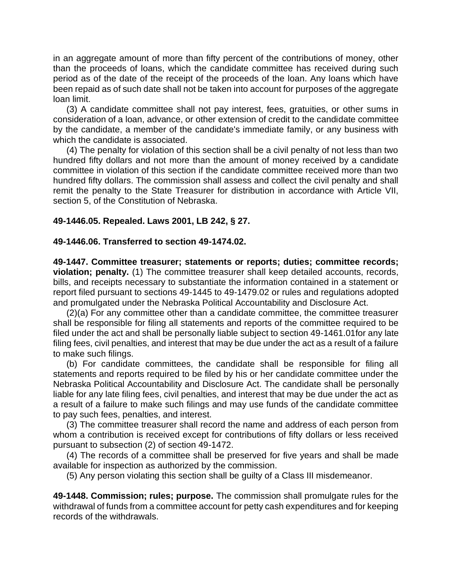in an aggregate amount of more than fifty percent of the contributions of money, other than the proceeds of loans, which the candidate committee has received during such period as of the date of the receipt of the proceeds of the loan. Any loans which have been repaid as of such date shall not be taken into account for purposes of the aggregate loan limit.

(3) A candidate committee shall not pay interest, fees, gratuities, or other sums in consideration of a loan, advance, or other extension of credit to the candidate committee by the candidate, a member of the candidate's immediate family, or any business with which the candidate is associated.

(4) The penalty for violation of this section shall be a civil penalty of not less than two hundred fifty dollars and not more than the amount of money received by a candidate committee in violation of this section if the candidate committee received more than two hundred fifty dollars. The commission shall assess and collect the civil penalty and shall remit the penalty to the State Treasurer for distribution in accordance with Article VII, section 5, of the Constitution of Nebraska.

# **49-1446.05. Repealed. Laws 2001, LB 242, § 27.**

### **49-1446.06. Transferred to section 49-1474.02.**

**49-1447. Committee treasurer; statements or reports; duties; committee records; violation; penalty.** (1) The committee treasurer shall keep detailed accounts, records, bills, and receipts necessary to substantiate the information contained in a statement or report filed pursuant to sections 49-1445 to 49-1479.02 or rules and regulations adopted and promulgated under the Nebraska Political Accountability and Disclosure Act.

(2)(a) For any committee other than a candidate committee, the committee treasurer shall be responsible for filing all statements and reports of the committee required to be filed under the act and shall be personally liable subject to section 49-1461.01for any late filing fees, civil penalties, and interest that may be due under the act as a result of a failure to make such filings.

(b) For candidate committees, the candidate shall be responsible for filing all statements and reports required to be filed by his or her candidate committee under the Nebraska Political Accountability and Disclosure Act. The candidate shall be personally liable for any late filing fees, civil penalties, and interest that may be due under the act as a result of a failure to make such filings and may use funds of the candidate committee to pay such fees, penalties, and interest.

(3) The committee treasurer shall record the name and address of each person from whom a contribution is received except for contributions of fifty dollars or less received pursuant to subsection (2) of section 49-1472.

(4) The records of a committee shall be preserved for five years and shall be made available for inspection as authorized by the commission.

(5) Any person violating this section shall be guilty of a Class III misdemeanor.

**49-1448. Commission; rules; purpose.** The commission shall promulgate rules for the withdrawal of funds from a committee account for petty cash expenditures and for keeping records of the withdrawals.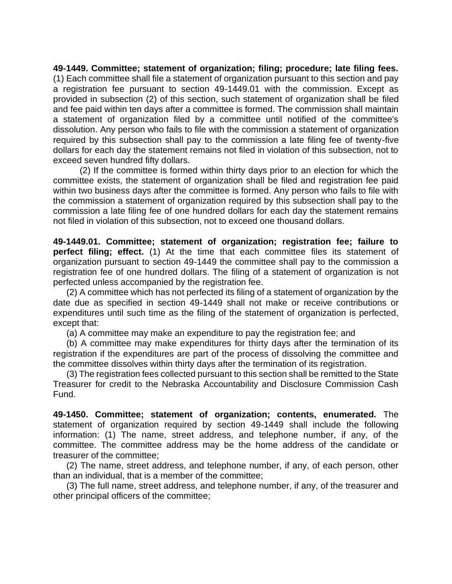**49-1449. Committee; statement of organization; filing; procedure; late filing fees.** (1) Each committee shall file a statement of organization pursuant to this section and pay a registration fee pursuant to section 49-1449.01 with the commission. Except as provided in subsection (2) of this section, such statement of organization shall be filed and fee paid within ten days after a committee is formed. The commission shall maintain a statement of organization filed by a committee until notified of the committee's dissolution. Any person who fails to file with the commission a statement of organization required by this subsection shall pay to the commission a late filing fee of twenty-five dollars for each day the statement remains not filed in violation of this subsection, not to exceed seven hundred fifty dollars.

(2) If the committee is formed within thirty days prior to an election for which the committee exists, the statement of organization shall be filed and registration fee paid within two business days after the committee is formed. Any person who fails to file with the commission a statement of organization required by this subsection shall pay to the commission a late filing fee of one hundred dollars for each day the statement remains not filed in violation of this subsection, not to exceed one thousand dollars.

**49-1449.01. Committee; statement of organization; registration fee; failure to perfect filing; effect.** (1) At the time that each committee files its statement of organization pursuant to section 49-1449 the committee shall pay to the commission a registration fee of one hundred dollars. The filing of a statement of organization is not perfected unless accompanied by the registration fee.

(2) A committee which has not perfected its filing of a statement of organization by the date due as specified in section 49-1449 shall not make or receive contributions or expenditures until such time as the filing of the statement of organization is perfected, except that:

(a) A committee may make an expenditure to pay the registration fee; and

(b) A committee may make expenditures for thirty days after the termination of its registration if the expenditures are part of the process of dissolving the committee and the committee dissolves within thirty days after the termination of its registration.

(3) The registration fees collected pursuant to this section shall be remitted to the State Treasurer for credit to the Nebraska Accountability and Disclosure Commission Cash Fund.

**49-1450. Committee; statement of organization; contents, enumerated.** The statement of organization required by section 49-1449 shall include the following information: (1) The name, street address, and telephone number, if any, of the committee. The committee address may be the home address of the candidate or treasurer of the committee;

(2) The name, street address, and telephone number, if any, of each person, other than an individual, that is a member of the committee;

(3) The full name, street address, and telephone number, if any, of the treasurer and other principal officers of the committee;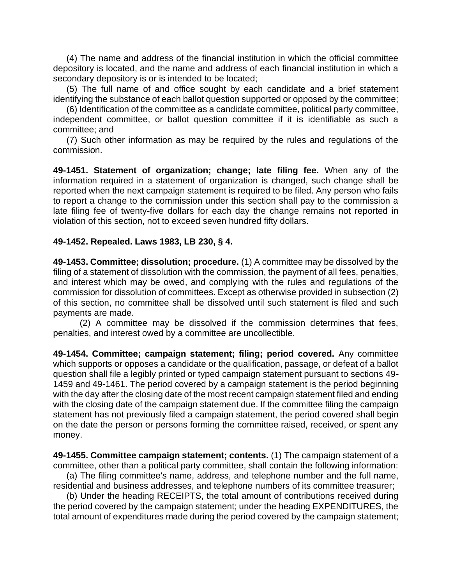(4) The name and address of the financial institution in which the official committee depository is located, and the name and address of each financial institution in which a secondary depository is or is intended to be located;

(5) The full name of and office sought by each candidate and a brief statement identifying the substance of each ballot question supported or opposed by the committee;

(6) Identification of the committee as a candidate committee, political party committee, independent committee, or ballot question committee if it is identifiable as such a committee; and

(7) Such other information as may be required by the rules and regulations of the commission.

**49-1451. Statement of organization; change; late filing fee.** When any of the information required in a statement of organization is changed, such change shall be reported when the next campaign statement is required to be filed. Any person who fails to report a change to the commission under this section shall pay to the commission a late filing fee of twenty-five dollars for each day the change remains not reported in violation of this section, not to exceed seven hundred fifty dollars.

### **49-1452. Repealed. Laws 1983, LB 230, § 4.**

**49-1453. Committee; dissolution; procedure.** (1) A committee may be dissolved by the filing of a statement of dissolution with the commission, the payment of all fees, penalties, and interest which may be owed, and complying with the rules and regulations of the commission for dissolution of committees. Except as otherwise provided in subsection (2) of this section, no committee shall be dissolved until such statement is filed and such payments are made.

(2) A committee may be dissolved if the commission determines that fees, penalties, and interest owed by a committee are uncollectible.

**49-1454. Committee; campaign statement; filing; period covered.** Any committee which supports or opposes a candidate or the qualification, passage, or defeat of a ballot question shall file a legibly printed or typed campaign statement pursuant to sections 49- 1459 and 49-1461. The period covered by a campaign statement is the period beginning with the day after the closing date of the most recent campaign statement filed and ending with the closing date of the campaign statement due. If the committee filing the campaign statement has not previously filed a campaign statement, the period covered shall begin on the date the person or persons forming the committee raised, received, or spent any money.

**49-1455. Committee campaign statement; contents.** (1) The campaign statement of a committee, other than a political party committee, shall contain the following information:

(a) The filing committee's name, address, and telephone number and the full name, residential and business addresses, and telephone numbers of its committee treasurer;

(b) Under the heading RECEIPTS, the total amount of contributions received during the period covered by the campaign statement; under the heading EXPENDITURES, the total amount of expenditures made during the period covered by the campaign statement;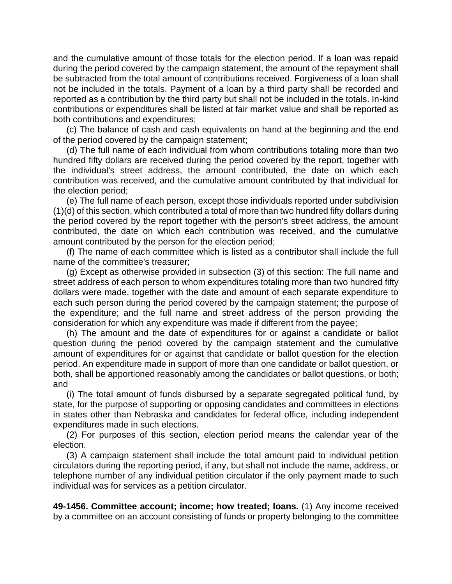and the cumulative amount of those totals for the election period. If a loan was repaid during the period covered by the campaign statement, the amount of the repayment shall be subtracted from the total amount of contributions received. Forgiveness of a loan shall not be included in the totals. Payment of a loan by a third party shall be recorded and reported as a contribution by the third party but shall not be included in the totals. In-kind contributions or expenditures shall be listed at fair market value and shall be reported as both contributions and expenditures;

(c) The balance of cash and cash equivalents on hand at the beginning and the end of the period covered by the campaign statement;

(d) The full name of each individual from whom contributions totaling more than two hundred fifty dollars are received during the period covered by the report, together with the individual's street address, the amount contributed, the date on which each contribution was received, and the cumulative amount contributed by that individual for the election period;

(e) The full name of each person, except those individuals reported under subdivision (1)(d) of this section, which contributed a total of more than two hundred fifty dollars during the period covered by the report together with the person's street address, the amount contributed, the date on which each contribution was received, and the cumulative amount contributed by the person for the election period;

(f) The name of each committee which is listed as a contributor shall include the full name of the committee's treasurer;

(g) Except as otherwise provided in subsection (3) of this section: The full name and street address of each person to whom expenditures totaling more than two hundred fifty dollars were made, together with the date and amount of each separate expenditure to each such person during the period covered by the campaign statement; the purpose of the expenditure; and the full name and street address of the person providing the consideration for which any expenditure was made if different from the payee;

(h) The amount and the date of expenditures for or against a candidate or ballot question during the period covered by the campaign statement and the cumulative amount of expenditures for or against that candidate or ballot question for the election period. An expenditure made in support of more than one candidate or ballot question, or both, shall be apportioned reasonably among the candidates or ballot questions, or both; and

(i) The total amount of funds disbursed by a separate segregated political fund, by state, for the purpose of supporting or opposing candidates and committees in elections in states other than Nebraska and candidates for federal office, including independent expenditures made in such elections.

(2) For purposes of this section, election period means the calendar year of the election.

(3) A campaign statement shall include the total amount paid to individual petition circulators during the reporting period, if any, but shall not include the name, address, or telephone number of any individual petition circulator if the only payment made to such individual was for services as a petition circulator.

**49-1456. Committee account; income; how treated; loans.** (1) Any income received by a committee on an account consisting of funds or property belonging to the committee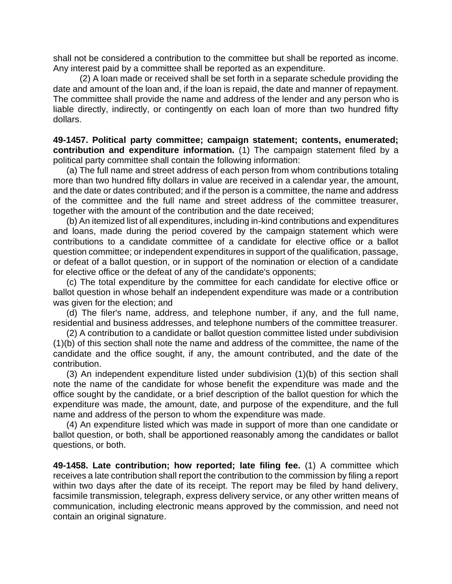shall not be considered a contribution to the committee but shall be reported as income. Any interest paid by a committee shall be reported as an expenditure.

(2) A loan made or received shall be set forth in a separate schedule providing the date and amount of the loan and, if the loan is repaid, the date and manner of repayment. The committee shall provide the name and address of the lender and any person who is liable directly, indirectly, or contingently on each loan of more than two hundred fifty dollars.

**49-1457. Political party committee; campaign statement; contents, enumerated; contribution and expenditure information.** (1) The campaign statement filed by a political party committee shall contain the following information:

(a) The full name and street address of each person from whom contributions totaling more than two hundred fifty dollars in value are received in a calendar year, the amount, and the date or dates contributed; and if the person is a committee, the name and address of the committee and the full name and street address of the committee treasurer, together with the amount of the contribution and the date received;

(b) An itemized list of all expenditures, including in-kind contributions and expenditures and loans, made during the period covered by the campaign statement which were contributions to a candidate committee of a candidate for elective office or a ballot question committee; or independent expenditures in support of the qualification, passage, or defeat of a ballot question, or in support of the nomination or election of a candidate for elective office or the defeat of any of the candidate's opponents;

(c) The total expenditure by the committee for each candidate for elective office or ballot question in whose behalf an independent expenditure was made or a contribution was given for the election; and

(d) The filer's name, address, and telephone number, if any, and the full name, residential and business addresses, and telephone numbers of the committee treasurer.

(2) A contribution to a candidate or ballot question committee listed under subdivision (1)(b) of this section shall note the name and address of the committee, the name of the candidate and the office sought, if any, the amount contributed, and the date of the contribution.

(3) An independent expenditure listed under subdivision (1)(b) of this section shall note the name of the candidate for whose benefit the expenditure was made and the office sought by the candidate, or a brief description of the ballot question for which the expenditure was made, the amount, date, and purpose of the expenditure, and the full name and address of the person to whom the expenditure was made.

(4) An expenditure listed which was made in support of more than one candidate or ballot question, or both, shall be apportioned reasonably among the candidates or ballot questions, or both.

**49-1458. Late contribution; how reported; late filing fee.** (1) A committee which receives a late contribution shall report the contribution to the commission by filing a report within two days after the date of its receipt. The report may be filed by hand delivery, facsimile transmission, telegraph, express delivery service, or any other written means of communication, including electronic means approved by the commission, and need not contain an original signature.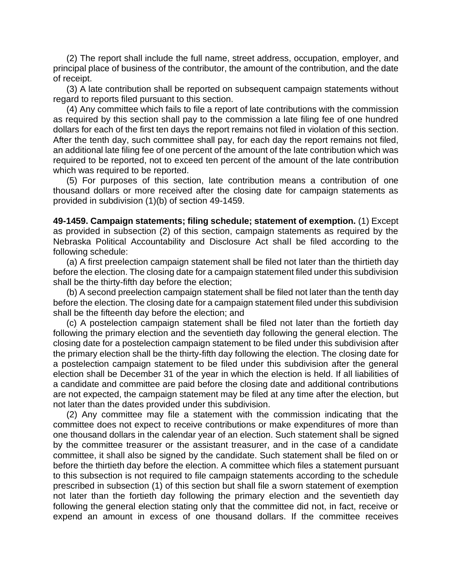(2) The report shall include the full name, street address, occupation, employer, and principal place of business of the contributor, the amount of the contribution, and the date of receipt.

(3) A late contribution shall be reported on subsequent campaign statements without regard to reports filed pursuant to this section.

(4) Any committee which fails to file a report of late contributions with the commission as required by this section shall pay to the commission a late filing fee of one hundred dollars for each of the first ten days the report remains not filed in violation of this section. After the tenth day, such committee shall pay, for each day the report remains not filed, an additional late filing fee of one percent of the amount of the late contribution which was required to be reported, not to exceed ten percent of the amount of the late contribution which was required to be reported.

(5) For purposes of this section, late contribution means a contribution of one thousand dollars or more received after the closing date for campaign statements as provided in subdivision (1)(b) of section 49-1459.

**49-1459. Campaign statements; filing schedule; statement of exemption.** (1) Except as provided in subsection (2) of this section, campaign statements as required by the Nebraska Political Accountability and Disclosure Act shall be filed according to the following schedule:

(a) A first preelection campaign statement shall be filed not later than the thirtieth day before the election. The closing date for a campaign statement filed under this subdivision shall be the thirty-fifth day before the election;

(b) A second preelection campaign statement shall be filed not later than the tenth day before the election. The closing date for a campaign statement filed under this subdivision shall be the fifteenth day before the election; and

(c) A postelection campaign statement shall be filed not later than the fortieth day following the primary election and the seventieth day following the general election. The closing date for a postelection campaign statement to be filed under this subdivision after the primary election shall be the thirty-fifth day following the election. The closing date for a postelection campaign statement to be filed under this subdivision after the general election shall be December 31 of the year in which the election is held. If all liabilities of a candidate and committee are paid before the closing date and additional contributions are not expected, the campaign statement may be filed at any time after the election, but not later than the dates provided under this subdivision.

(2) Any committee may file a statement with the commission indicating that the committee does not expect to receive contributions or make expenditures of more than one thousand dollars in the calendar year of an election. Such statement shall be signed by the committee treasurer or the assistant treasurer, and in the case of a candidate committee, it shall also be signed by the candidate. Such statement shall be filed on or before the thirtieth day before the election. A committee which files a statement pursuant to this subsection is not required to file campaign statements according to the schedule prescribed in subsection (1) of this section but shall file a sworn statement of exemption not later than the fortieth day following the primary election and the seventieth day following the general election stating only that the committee did not, in fact, receive or expend an amount in excess of one thousand dollars. If the committee receives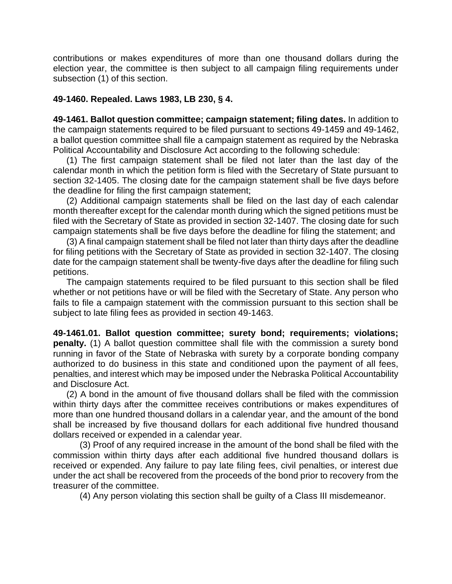contributions or makes expenditures of more than one thousand dollars during the election year, the committee is then subject to all campaign filing requirements under subsection (1) of this section.

## **49-1460. Repealed. Laws 1983, LB 230, § 4.**

**49-1461. Ballot question committee; campaign statement; filing dates.** In addition to the campaign statements required to be filed pursuant to sections 49-1459 and 49-1462, a ballot question committee shall file a campaign statement as required by the Nebraska Political Accountability and Disclosure Act according to the following schedule:

(1) The first campaign statement shall be filed not later than the last day of the calendar month in which the petition form is filed with the Secretary of State pursuant to section 32-1405. The closing date for the campaign statement shall be five days before the deadline for filing the first campaign statement;

(2) Additional campaign statements shall be filed on the last day of each calendar month thereafter except for the calendar month during which the signed petitions must be filed with the Secretary of State as provided in section 32-1407. The closing date for such campaign statements shall be five days before the deadline for filing the statement; and

(3) A final campaign statement shall be filed not later than thirty days after the deadline for filing petitions with the Secretary of State as provided in section 32-1407. The closing date for the campaign statement shall be twenty-five days after the deadline for filing such petitions.

The campaign statements required to be filed pursuant to this section shall be filed whether or not petitions have or will be filed with the Secretary of State. Any person who fails to file a campaign statement with the commission pursuant to this section shall be subject to late filing fees as provided in section 49-1463.

**49-1461.01. Ballot question committee; surety bond; requirements; violations; penalty.** (1) A ballot question committee shall file with the commission a surety bond running in favor of the State of Nebraska with surety by a corporate bonding company authorized to do business in this state and conditioned upon the payment of all fees, penalties, and interest which may be imposed under the Nebraska Political Accountability and Disclosure Act.

(2) A bond in the amount of five thousand dollars shall be filed with the commission within thirty days after the committee receives contributions or makes expenditures of more than one hundred thousand dollars in a calendar year, and the amount of the bond shall be increased by five thousand dollars for each additional five hundred thousand dollars received or expended in a calendar year.

(3) Proof of any required increase in the amount of the bond shall be filed with the commission within thirty days after each additional five hundred thousand dollars is received or expended. Any failure to pay late filing fees, civil penalties, or interest due under the act shall be recovered from the proceeds of the bond prior to recovery from the treasurer of the committee.

(4) Any person violating this section shall be guilty of a Class III misdemeanor.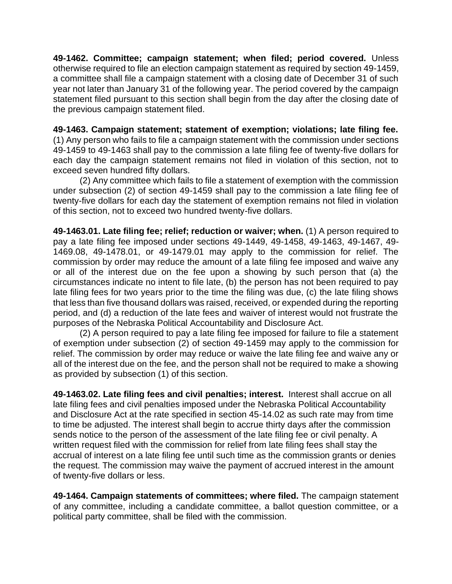**49-1462. Committee; campaign statement; when filed; period covered.** Unless otherwise required to file an election campaign statement as required by section 49-1459, a committee shall file a campaign statement with a closing date of December 31 of such year not later than January 31 of the following year. The period covered by the campaign statement filed pursuant to this section shall begin from the day after the closing date of the previous campaign statement filed.

**49-1463. Campaign statement; statement of exemption; violations; late filing fee.** (1) Any person who fails to file a campaign statement with the commission under sections 49-1459 to 49-1463 shall pay to the commission a late filing fee of twenty-five dollars for each day the campaign statement remains not filed in violation of this section, not to exceed seven hundred fifty dollars.

(2) Any committee which fails to file a statement of exemption with the commission under subsection (2) of section 49-1459 shall pay to the commission a late filing fee of twenty-five dollars for each day the statement of exemption remains not filed in violation of this section, not to exceed two hundred twenty-five dollars.

**49-1463.01. Late filing fee; relief; reduction or waiver; when.** (1) A person required to pay a late filing fee imposed under sections 49-1449, 49-1458, 49-1463, 49-1467, 49- 1469.08, 49-1478.01, or 49-1479.01 may apply to the commission for relief. The commission by order may reduce the amount of a late filing fee imposed and waive any or all of the interest due on the fee upon a showing by such person that (a) the circumstances indicate no intent to file late, (b) the person has not been required to pay late filing fees for two years prior to the time the filing was due, (c) the late filing shows that less than five thousand dollars was raised, received, or expended during the reporting period, and (d) a reduction of the late fees and waiver of interest would not frustrate the purposes of the Nebraska Political Accountability and Disclosure Act.

(2) A person required to pay a late filing fee imposed for failure to file a statement of exemption under subsection (2) of section 49-1459 may apply to the commission for relief. The commission by order may reduce or waive the late filing fee and waive any or all of the interest due on the fee, and the person shall not be required to make a showing as provided by subsection (1) of this section.

**49-1463.02. Late filing fees and civil penalties; interest.** Interest shall accrue on all late filing fees and civil penalties imposed under the Nebraska Political Accountability and Disclosure Act at the rate specified in section 45-14.02 as such rate may from time to time be adjusted. The interest shall begin to accrue thirty days after the commission sends notice to the person of the assessment of the late filing fee or civil penalty. A written request filed with the commission for relief from late filing fees shall stay the accrual of interest on a late filing fee until such time as the commission grants or denies the request. The commission may waive the payment of accrued interest in the amount of twenty-five dollars or less.

**49-1464. Campaign statements of committees; where filed.** The campaign statement of any committee, including a candidate committee, a ballot question committee, or a political party committee, shall be filed with the commission.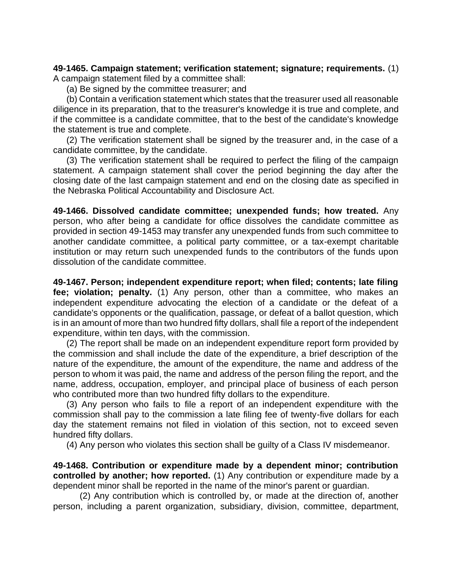**49-1465. Campaign statement; verification statement; signature; requirements.** (1) A campaign statement filed by a committee shall:

(a) Be signed by the committee treasurer; and

(b) Contain a verification statement which states that the treasurer used all reasonable diligence in its preparation, that to the treasurer's knowledge it is true and complete, and if the committee is a candidate committee, that to the best of the candidate's knowledge the statement is true and complete.

(2) The verification statement shall be signed by the treasurer and, in the case of a candidate committee, by the candidate.

(3) The verification statement shall be required to perfect the filing of the campaign statement. A campaign statement shall cover the period beginning the day after the closing date of the last campaign statement and end on the closing date as specified in the Nebraska Political Accountability and Disclosure Act.

**49-1466. Dissolved candidate committee; unexpended funds; how treated.** Any person, who after being a candidate for office dissolves the candidate committee as provided in section 49-1453 may transfer any unexpended funds from such committee to another candidate committee, a political party committee, or a tax-exempt charitable institution or may return such unexpended funds to the contributors of the funds upon dissolution of the candidate committee.

**49-1467. Person; independent expenditure report; when filed; contents; late filing fee; violation; penalty.** (1) Any person, other than a committee, who makes an independent expenditure advocating the election of a candidate or the defeat of a candidate's opponents or the qualification, passage, or defeat of a ballot question, which is in an amount of more than two hundred fifty dollars, shall file a report of the independent expenditure, within ten days, with the commission.

(2) The report shall be made on an independent expenditure report form provided by the commission and shall include the date of the expenditure, a brief description of the nature of the expenditure, the amount of the expenditure, the name and address of the person to whom it was paid, the name and address of the person filing the report, and the name, address, occupation, employer, and principal place of business of each person who contributed more than two hundred fifty dollars to the expenditure.

(3) Any person who fails to file a report of an independent expenditure with the commission shall pay to the commission a late filing fee of twenty-five dollars for each day the statement remains not filed in violation of this section, not to exceed seven hundred fifty dollars.

(4) Any person who violates this section shall be guilty of a Class IV misdemeanor.

**49-1468. Contribution or expenditure made by a dependent minor; contribution controlled by another; how reported.** (1) Any contribution or expenditure made by a dependent minor shall be reported in the name of the minor's parent or guardian.

(2) Any contribution which is controlled by, or made at the direction of, another person, including a parent organization, subsidiary, division, committee, department,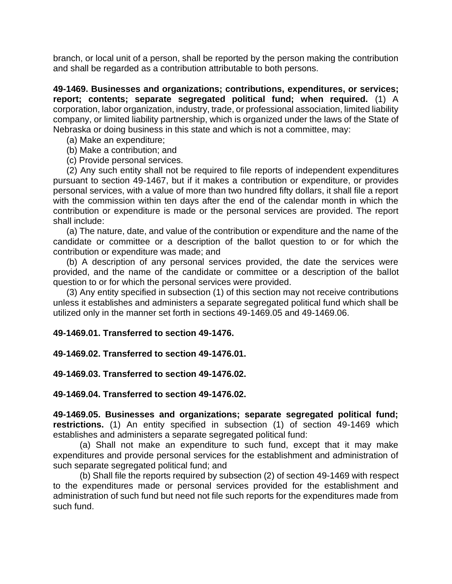branch, or local unit of a person, shall be reported by the person making the contribution and shall be regarded as a contribution attributable to both persons.

**49-1469. Businesses and organizations; contributions, expenditures, or services; report; contents; separate segregated political fund; when required.** (1) A corporation, labor organization, industry, trade, or professional association, limited liability company, or limited liability partnership, which is organized under the laws of the State of Nebraska or doing business in this state and which is not a committee, may:

- (a) Make an expenditure;
- (b) Make a contribution; and
- (c) Provide personal services.

(2) Any such entity shall not be required to file reports of independent expenditures pursuant to section 49-1467, but if it makes a contribution or expenditure, or provides personal services, with a value of more than two hundred fifty dollars, it shall file a report with the commission within ten days after the end of the calendar month in which the contribution or expenditure is made or the personal services are provided. The report shall include:

(a) The nature, date, and value of the contribution or expenditure and the name of the candidate or committee or a description of the ballot question to or for which the contribution or expenditure was made; and

(b) A description of any personal services provided, the date the services were provided, and the name of the candidate or committee or a description of the ballot question to or for which the personal services were provided.

(3) Any entity specified in subsection (1) of this section may not receive contributions unless it establishes and administers a separate segregated political fund which shall be utilized only in the manner set forth in sections 49-1469.05 and 49-1469.06.

#### **49-1469.01. Transferred to section 49-1476.**

#### **49-1469.02. Transferred to section 49-1476.01.**

#### **49-1469.03. Transferred to section 49-1476.02.**

#### **49-1469.04. Transferred to section 49-1476.02.**

**49-1469.05. Businesses and organizations; separate segregated political fund; restrictions.** (1) An entity specified in subsection (1) of section 49-1469 which establishes and administers a separate segregated political fund:

(a) Shall not make an expenditure to such fund, except that it may make expenditures and provide personal services for the establishment and administration of such separate segregated political fund; and

(b) Shall file the reports required by subsection (2) of section 49-1469 with respect to the expenditures made or personal services provided for the establishment and administration of such fund but need not file such reports for the expenditures made from such fund.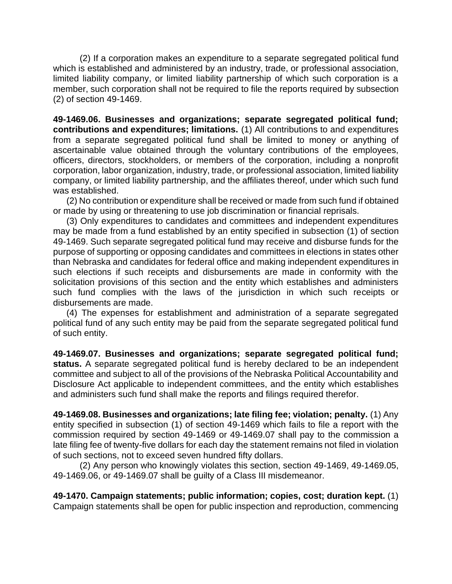(2) If a corporation makes an expenditure to a separate segregated political fund which is established and administered by an industry, trade, or professional association, limited liability company, or limited liability partnership of which such corporation is a member, such corporation shall not be required to file the reports required by subsection (2) of section 49-1469.

**49-1469.06. Businesses and organizations; separate segregated political fund; contributions and expenditures; limitations.** (1) All contributions to and expenditures from a separate segregated political fund shall be limited to money or anything of ascertainable value obtained through the voluntary contributions of the employees, officers, directors, stockholders, or members of the corporation, including a nonprofit corporation, labor organization, industry, trade, or professional association, limited liability company, or limited liability partnership, and the affiliates thereof, under which such fund was established.

(2) No contribution or expenditure shall be received or made from such fund if obtained or made by using or threatening to use job discrimination or financial reprisals.

(3) Only expenditures to candidates and committees and independent expenditures may be made from a fund established by an entity specified in subsection (1) of section 49-1469. Such separate segregated political fund may receive and disburse funds for the purpose of supporting or opposing candidates and committees in elections in states other than Nebraska and candidates for federal office and making independent expenditures in such elections if such receipts and disbursements are made in conformity with the solicitation provisions of this section and the entity which establishes and administers such fund complies with the laws of the jurisdiction in which such receipts or disbursements are made.

(4) The expenses for establishment and administration of a separate segregated political fund of any such entity may be paid from the separate segregated political fund of such entity.

**49-1469.07. Businesses and organizations; separate segregated political fund;**  status. A separate segregated political fund is hereby declared to be an independent committee and subject to all of the provisions of the Nebraska Political Accountability and Disclosure Act applicable to independent committees, and the entity which establishes and administers such fund shall make the reports and filings required therefor.

**49-1469.08. Businesses and organizations; late filing fee; violation; penalty.** (1) Any entity specified in subsection (1) of section 49-1469 which fails to file a report with the commission required by section 49-1469 or 49-1469.07 shall pay to the commission a late filing fee of twenty-five dollars for each day the statement remains not filed in violation of such sections, not to exceed seven hundred fifty dollars.

(2) Any person who knowingly violates this section, section 49-1469, 49-1469.05, 49-1469.06, or 49-1469.07 shall be guilty of a Class III misdemeanor.

**49-1470. Campaign statements; public information; copies, cost; duration kept.** (1) Campaign statements shall be open for public inspection and reproduction, commencing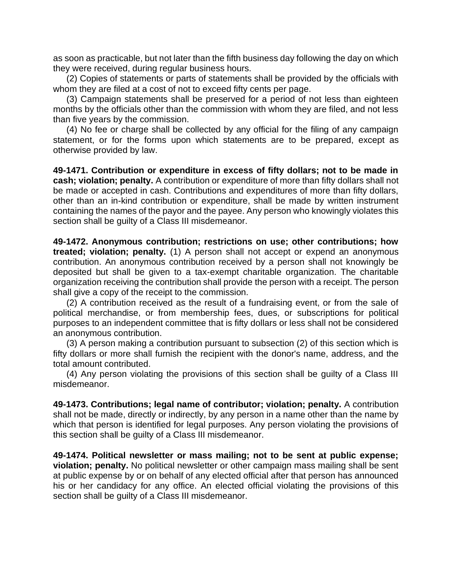as soon as practicable, but not later than the fifth business day following the day on which they were received, during regular business hours.

(2) Copies of statements or parts of statements shall be provided by the officials with whom they are filed at a cost of not to exceed fifty cents per page.

(3) Campaign statements shall be preserved for a period of not less than eighteen months by the officials other than the commission with whom they are filed, and not less than five years by the commission.

(4) No fee or charge shall be collected by any official for the filing of any campaign statement, or for the forms upon which statements are to be prepared, except as otherwise provided by law.

**49-1471. Contribution or expenditure in excess of fifty dollars; not to be made in cash; violation; penalty.** A contribution or expenditure of more than fifty dollars shall not be made or accepted in cash. Contributions and expenditures of more than fifty dollars, other than an in-kind contribution or expenditure, shall be made by written instrument containing the names of the payor and the payee. Any person who knowingly violates this section shall be guilty of a Class III misdemeanor.

**49-1472. Anonymous contribution; restrictions on use; other contributions; how treated; violation; penalty.** (1) A person shall not accept or expend an anonymous contribution. An anonymous contribution received by a person shall not knowingly be deposited but shall be given to a tax-exempt charitable organization. The charitable organization receiving the contribution shall provide the person with a receipt. The person shall give a copy of the receipt to the commission.

(2) A contribution received as the result of a fundraising event, or from the sale of political merchandise, or from membership fees, dues, or subscriptions for political purposes to an independent committee that is fifty dollars or less shall not be considered an anonymous contribution.

(3) A person making a contribution pursuant to subsection (2) of this section which is fifty dollars or more shall furnish the recipient with the donor's name, address, and the total amount contributed.

(4) Any person violating the provisions of this section shall be guilty of a Class III misdemeanor.

**49-1473. Contributions; legal name of contributor; violation; penalty.** A contribution shall not be made, directly or indirectly, by any person in a name other than the name by which that person is identified for legal purposes. Any person violating the provisions of this section shall be guilty of a Class III misdemeanor.

**49-1474. Political newsletter or mass mailing; not to be sent at public expense; violation; penalty.** No political newsletter or other campaign mass mailing shall be sent at public expense by or on behalf of any elected official after that person has announced his or her candidacy for any office. An elected official violating the provisions of this section shall be guilty of a Class III misdemeanor.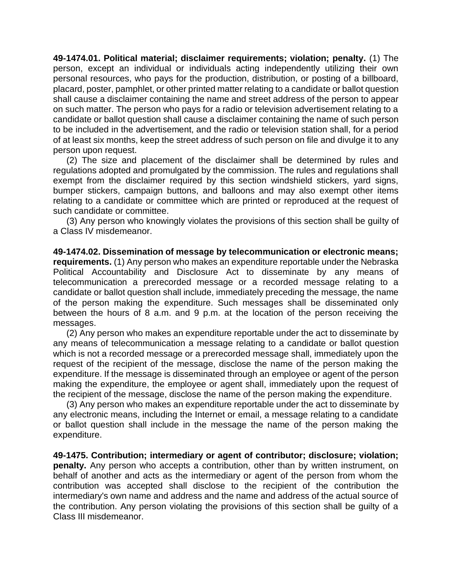**49-1474.01. Political material; disclaimer requirements; violation; penalty.** (1) The person, except an individual or individuals acting independently utilizing their own personal resources, who pays for the production, distribution, or posting of a billboard, placard, poster, pamphlet, or other printed matter relating to a candidate or ballot question shall cause a disclaimer containing the name and street address of the person to appear on such matter. The person who pays for a radio or television advertisement relating to a candidate or ballot question shall cause a disclaimer containing the name of such person to be included in the advertisement, and the radio or television station shall, for a period of at least six months, keep the street address of such person on file and divulge it to any person upon request.

(2) The size and placement of the disclaimer shall be determined by rules and regulations adopted and promulgated by the commission. The rules and regulations shall exempt from the disclaimer required by this section windshield stickers, yard signs, bumper stickers, campaign buttons, and balloons and may also exempt other items relating to a candidate or committee which are printed or reproduced at the request of such candidate or committee.

(3) Any person who knowingly violates the provisions of this section shall be guilty of a Class IV misdemeanor.

**49-1474.02. Dissemination of message by telecommunication or electronic means; requirements.** (1) Any person who makes an expenditure reportable under the Nebraska Political Accountability and Disclosure Act to disseminate by any means of telecommunication a prerecorded message or a recorded message relating to a candidate or ballot question shall include, immediately preceding the message, the name of the person making the expenditure. Such messages shall be disseminated only between the hours of 8 a.m. and 9 p.m. at the location of the person receiving the messages.

(2) Any person who makes an expenditure reportable under the act to disseminate by any means of telecommunication a message relating to a candidate or ballot question which is not a recorded message or a prerecorded message shall, immediately upon the request of the recipient of the message, disclose the name of the person making the expenditure. If the message is disseminated through an employee or agent of the person making the expenditure, the employee or agent shall, immediately upon the request of the recipient of the message, disclose the name of the person making the expenditure.

(3) Any person who makes an expenditure reportable under the act to disseminate by any electronic means, including the Internet or email, a message relating to a candidate or ballot question shall include in the message the name of the person making the expenditure.

**49-1475. Contribution; intermediary or agent of contributor; disclosure; violation; penalty.** Any person who accepts a contribution, other than by written instrument, on behalf of another and acts as the intermediary or agent of the person from whom the contribution was accepted shall disclose to the recipient of the contribution the intermediary's own name and address and the name and address of the actual source of the contribution. Any person violating the provisions of this section shall be guilty of a Class III misdemeanor.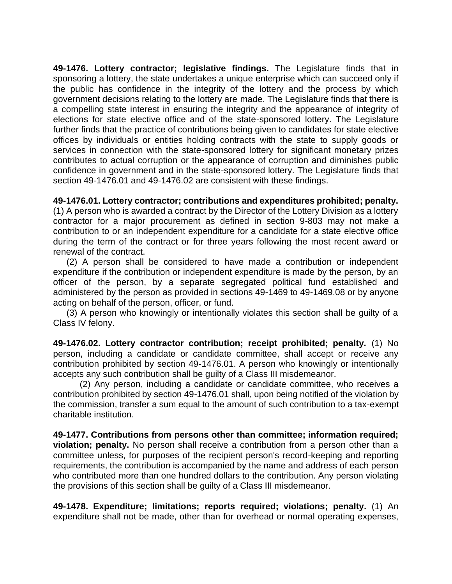**49-1476. Lottery contractor; legislative findings.** The Legislature finds that in sponsoring a lottery, the state undertakes a unique enterprise which can succeed only if the public has confidence in the integrity of the lottery and the process by which government decisions relating to the lottery are made. The Legislature finds that there is a compelling state interest in ensuring the integrity and the appearance of integrity of elections for state elective office and of the state-sponsored lottery. The Legislature further finds that the practice of contributions being given to candidates for state elective offices by individuals or entities holding contracts with the state to supply goods or services in connection with the state-sponsored lottery for significant monetary prizes contributes to actual corruption or the appearance of corruption and diminishes public confidence in government and in the state-sponsored lottery. The Legislature finds that section 49-1476.01 and 49-1476.02 are consistent with these findings.

**49-1476.01. Lottery contractor; contributions and expenditures prohibited; penalty.**

(1) A person who is awarded a contract by the Director of the Lottery Division as a lottery contractor for a major procurement as defined in section 9-803 may not make a contribution to or an independent expenditure for a candidate for a state elective office during the term of the contract or for three years following the most recent award or renewal of the contract.

(2) A person shall be considered to have made a contribution or independent expenditure if the contribution or independent expenditure is made by the person, by an officer of the person, by a separate segregated political fund established and administered by the person as provided in sections 49-1469 to 49-1469.08 or by anyone acting on behalf of the person, officer, or fund.

(3) A person who knowingly or intentionally violates this section shall be guilty of a Class IV felony.

**49-1476.02. Lottery contractor contribution; receipt prohibited; penalty.** (1) No person, including a candidate or candidate committee, shall accept or receive any contribution prohibited by section 49-1476.01. A person who knowingly or intentionally accepts any such contribution shall be guilty of a Class III misdemeanor.

(2) Any person, including a candidate or candidate committee, who receives a contribution prohibited by section 49-1476.01 shall, upon being notified of the violation by the commission, transfer a sum equal to the amount of such contribution to a tax-exempt charitable institution.

**49-1477. Contributions from persons other than committee; information required; violation; penalty.** No person shall receive a contribution from a person other than a committee unless, for purposes of the recipient person's record-keeping and reporting requirements, the contribution is accompanied by the name and address of each person who contributed more than one hundred dollars to the contribution. Any person violating the provisions of this section shall be guilty of a Class III misdemeanor.

**49-1478. Expenditure; limitations; reports required; violations; penalty.** (1) An expenditure shall not be made, other than for overhead or normal operating expenses,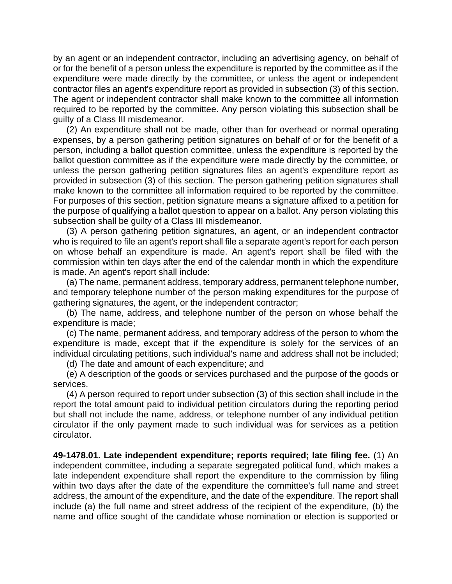by an agent or an independent contractor, including an advertising agency, on behalf of or for the benefit of a person unless the expenditure is reported by the committee as if the expenditure were made directly by the committee, or unless the agent or independent contractor files an agent's expenditure report as provided in subsection (3) of this section. The agent or independent contractor shall make known to the committee all information required to be reported by the committee. Any person violating this subsection shall be guilty of a Class III misdemeanor.

(2) An expenditure shall not be made, other than for overhead or normal operating expenses, by a person gathering petition signatures on behalf of or for the benefit of a person, including a ballot question committee, unless the expenditure is reported by the ballot question committee as if the expenditure were made directly by the committee, or unless the person gathering petition signatures files an agent's expenditure report as provided in subsection (3) of this section. The person gathering petition signatures shall make known to the committee all information required to be reported by the committee. For purposes of this section, petition signature means a signature affixed to a petition for the purpose of qualifying a ballot question to appear on a ballot. Any person violating this subsection shall be guilty of a Class III misdemeanor.

(3) A person gathering petition signatures, an agent, or an independent contractor who is required to file an agent's report shall file a separate agent's report for each person on whose behalf an expenditure is made. An agent's report shall be filed with the commission within ten days after the end of the calendar month in which the expenditure is made. An agent's report shall include:

(a) The name, permanent address, temporary address, permanent telephone number, and temporary telephone number of the person making expenditures for the purpose of gathering signatures, the agent, or the independent contractor;

(b) The name, address, and telephone number of the person on whose behalf the expenditure is made;

(c) The name, permanent address, and temporary address of the person to whom the expenditure is made, except that if the expenditure is solely for the services of an individual circulating petitions, such individual's name and address shall not be included;

(d) The date and amount of each expenditure; and

(e) A description of the goods or services purchased and the purpose of the goods or services.

(4) A person required to report under subsection (3) of this section shall include in the report the total amount paid to individual petition circulators during the reporting period but shall not include the name, address, or telephone number of any individual petition circulator if the only payment made to such individual was for services as a petition circulator.

**49-1478.01. Late independent expenditure; reports required; late filing fee.** (1) An independent committee, including a separate segregated political fund, which makes a late independent expenditure shall report the expenditure to the commission by filing within two days after the date of the expenditure the committee's full name and street address, the amount of the expenditure, and the date of the expenditure. The report shall include (a) the full name and street address of the recipient of the expenditure, (b) the name and office sought of the candidate whose nomination or election is supported or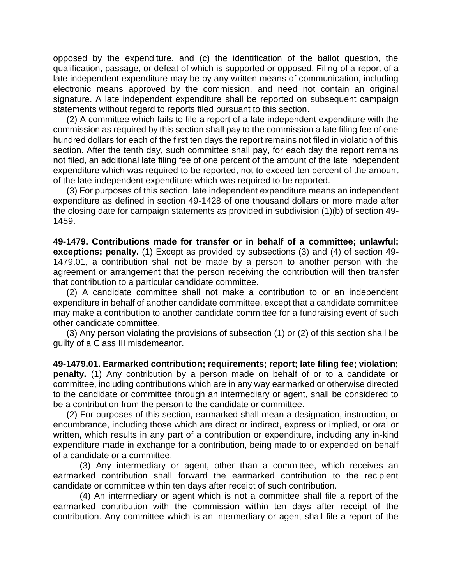opposed by the expenditure, and (c) the identification of the ballot question, the qualification, passage, or defeat of which is supported or opposed. Filing of a report of a late independent expenditure may be by any written means of communication, including electronic means approved by the commission, and need not contain an original signature. A late independent expenditure shall be reported on subsequent campaign statements without regard to reports filed pursuant to this section.

(2) A committee which fails to file a report of a late independent expenditure with the commission as required by this section shall pay to the commission a late filing fee of one hundred dollars for each of the first ten days the report remains not filed in violation of this section. After the tenth day, such committee shall pay, for each day the report remains not filed, an additional late filing fee of one percent of the amount of the late independent expenditure which was required to be reported, not to exceed ten percent of the amount of the late independent expenditure which was required to be reported.

(3) For purposes of this section, late independent expenditure means an independent expenditure as defined in section 49-1428 of one thousand dollars or more made after the closing date for campaign statements as provided in subdivision (1)(b) of section 49- 1459.

**49-1479. Contributions made for transfer or in behalf of a committee; unlawful; exceptions; penalty.** (1) Except as provided by subsections (3) and (4) of section 49- 1479.01, a contribution shall not be made by a person to another person with the agreement or arrangement that the person receiving the contribution will then transfer that contribution to a particular candidate committee.

(2) A candidate committee shall not make a contribution to or an independent expenditure in behalf of another candidate committee, except that a candidate committee may make a contribution to another candidate committee for a fundraising event of such other candidate committee.

(3) Any person violating the provisions of subsection (1) or (2) of this section shall be guilty of a Class III misdemeanor.

**49-1479.01. Earmarked contribution; requirements; report; late filing fee; violation; penalty.** (1) Any contribution by a person made on behalf of or to a candidate or committee, including contributions which are in any way earmarked or otherwise directed to the candidate or committee through an intermediary or agent, shall be considered to be a contribution from the person to the candidate or committee.

(2) For purposes of this section, earmarked shall mean a designation, instruction, or encumbrance, including those which are direct or indirect, express or implied, or oral or written, which results in any part of a contribution or expenditure, including any in-kind expenditure made in exchange for a contribution, being made to or expended on behalf of a candidate or a committee.

(3) Any intermediary or agent, other than a committee, which receives an earmarked contribution shall forward the earmarked contribution to the recipient candidate or committee within ten days after receipt of such contribution.

(4) An intermediary or agent which is not a committee shall file a report of the earmarked contribution with the commission within ten days after receipt of the contribution. Any committee which is an intermediary or agent shall file a report of the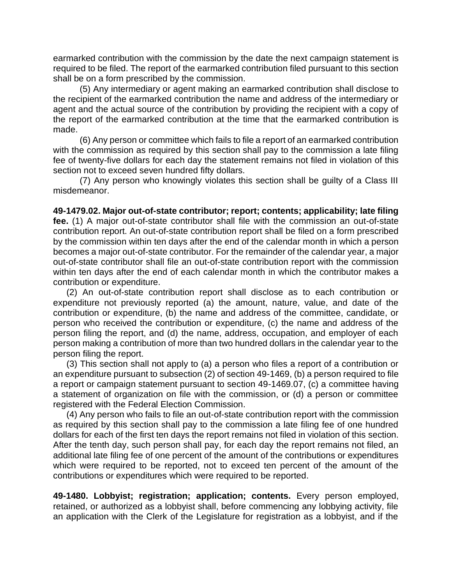earmarked contribution with the commission by the date the next campaign statement is required to be filed. The report of the earmarked contribution filed pursuant to this section shall be on a form prescribed by the commission.

(5) Any intermediary or agent making an earmarked contribution shall disclose to the recipient of the earmarked contribution the name and address of the intermediary or agent and the actual source of the contribution by providing the recipient with a copy of the report of the earmarked contribution at the time that the earmarked contribution is made.

(6) Any person or committee which fails to file a report of an earmarked contribution with the commission as required by this section shall pay to the commission a late filing fee of twenty-five dollars for each day the statement remains not filed in violation of this section not to exceed seven hundred fifty dollars.

(7) Any person who knowingly violates this section shall be guilty of a Class III misdemeanor.

**49-1479.02. Major out-of-state contributor; report; contents; applicability; late filing fee.** (1) A major out-of-state contributor shall file with the commission an out-of-state contribution report. An out-of-state contribution report shall be filed on a form prescribed by the commission within ten days after the end of the calendar month in which a person becomes a major out-of-state contributor. For the remainder of the calendar year, a major out-of-state contributor shall file an out-of-state contribution report with the commission within ten days after the end of each calendar month in which the contributor makes a contribution or expenditure.

(2) An out-of-state contribution report shall disclose as to each contribution or expenditure not previously reported (a) the amount, nature, value, and date of the contribution or expenditure, (b) the name and address of the committee, candidate, or person who received the contribution or expenditure, (c) the name and address of the person filing the report, and (d) the name, address, occupation, and employer of each person making a contribution of more than two hundred dollars in the calendar year to the person filing the report.

(3) This section shall not apply to (a) a person who files a report of a contribution or an expenditure pursuant to subsection (2) of section 49-1469, (b) a person required to file a report or campaign statement pursuant to section 49-1469.07, (c) a committee having a statement of organization on file with the commission, or (d) a person or committee registered with the Federal Election Commission.

(4) Any person who fails to file an out-of-state contribution report with the commission as required by this section shall pay to the commission a late filing fee of one hundred dollars for each of the first ten days the report remains not filed in violation of this section. After the tenth day, such person shall pay, for each day the report remains not filed, an additional late filing fee of one percent of the amount of the contributions or expenditures which were required to be reported, not to exceed ten percent of the amount of the contributions or expenditures which were required to be reported.

**49-1480. Lobbyist; registration; application; contents.** Every person employed, retained, or authorized as a lobbyist shall, before commencing any lobbying activity, file an application with the Clerk of the Legislature for registration as a lobbyist, and if the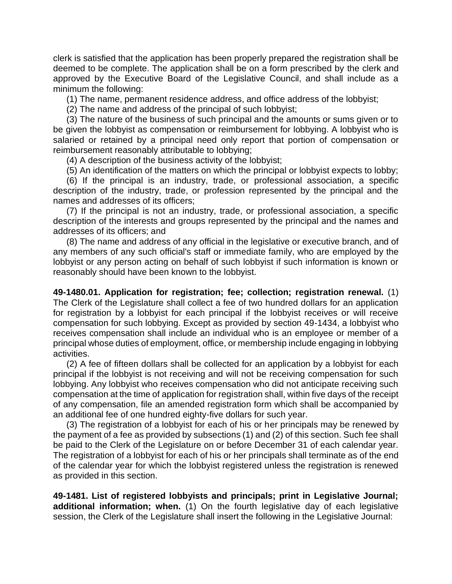clerk is satisfied that the application has been properly prepared the registration shall be deemed to be complete. The application shall be on a form prescribed by the clerk and approved by the Executive Board of the Legislative Council, and shall include as a minimum the following:

(1) The name, permanent residence address, and office address of the lobbyist;

(2) The name and address of the principal of such lobbyist;

(3) The nature of the business of such principal and the amounts or sums given or to be given the lobbyist as compensation or reimbursement for lobbying. A lobbyist who is salaried or retained by a principal need only report that portion of compensation or reimbursement reasonably attributable to lobbying;

(4) A description of the business activity of the lobbyist;

(5) An identification of the matters on which the principal or lobbyist expects to lobby;

(6) If the principal is an industry, trade, or professional association, a specific description of the industry, trade, or profession represented by the principal and the names and addresses of its officers;

(7) If the principal is not an industry, trade, or professional association, a specific description of the interests and groups represented by the principal and the names and addresses of its officers; and

(8) The name and address of any official in the legislative or executive branch, and of any members of any such official's staff or immediate family, who are employed by the lobbyist or any person acting on behalf of such lobbyist if such information is known or reasonably should have been known to the lobbyist.

**49-1480.01. Application for registration; fee; collection; registration renewal.** (1) The Clerk of the Legislature shall collect a fee of two hundred dollars for an application for registration by a lobbyist for each principal if the lobbyist receives or will receive compensation for such lobbying. Except as provided by section 49-1434, a lobbyist who receives compensation shall include an individual who is an employee or member of a principal whose duties of employment, office, or membership include engaging in lobbying activities.

(2) A fee of fifteen dollars shall be collected for an application by a lobbyist for each principal if the lobbyist is not receiving and will not be receiving compensation for such lobbying. Any lobbyist who receives compensation who did not anticipate receiving such compensation at the time of application for registration shall, within five days of the receipt of any compensation, file an amended registration form which shall be accompanied by an additional fee of one hundred eighty-five dollars for such year.

(3) The registration of a lobbyist for each of his or her principals may be renewed by the payment of a fee as provided by subsections (1) and (2) of this section. Such fee shall be paid to the Clerk of the Legislature on or before December 31 of each calendar year. The registration of a lobbyist for each of his or her principals shall terminate as of the end of the calendar year for which the lobbyist registered unless the registration is renewed as provided in this section.

**49-1481. List of registered lobbyists and principals; print in Legislative Journal; additional information; when.** (1) On the fourth legislative day of each legislative session, the Clerk of the Legislature shall insert the following in the Legislative Journal: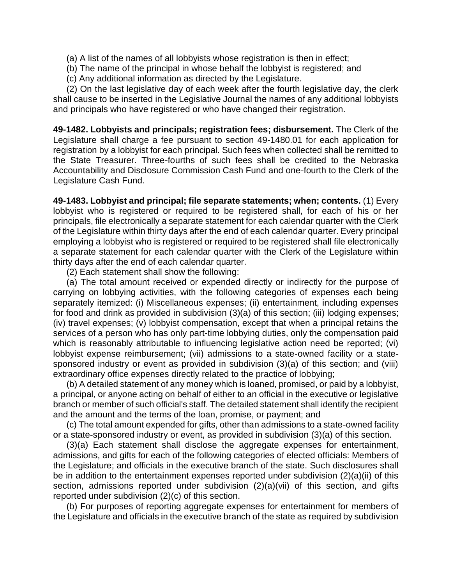- (a) A list of the names of all lobbyists whose registration is then in effect;
- (b) The name of the principal in whose behalf the lobbyist is registered; and
- (c) Any additional information as directed by the Legislature.

(2) On the last legislative day of each week after the fourth legislative day, the clerk shall cause to be inserted in the Legislative Journal the names of any additional lobbyists and principals who have registered or who have changed their registration.

**49-1482. Lobbyists and principals; registration fees; disbursement.** The Clerk of the Legislature shall charge a fee pursuant to section 49-1480.01 for each application for registration by a lobbyist for each principal. Such fees when collected shall be remitted to the State Treasurer. Three-fourths of such fees shall be credited to the Nebraska Accountability and Disclosure Commission Cash Fund and one-fourth to the Clerk of the Legislature Cash Fund.

**49-1483. Lobbyist and principal; file separate statements; when; contents.** (1) Every lobbyist who is registered or required to be registered shall, for each of his or her principals, file electronically a separate statement for each calendar quarter with the Clerk of the Legislature within thirty days after the end of each calendar quarter. Every principal employing a lobbyist who is registered or required to be registered shall file electronically a separate statement for each calendar quarter with the Clerk of the Legislature within thirty days after the end of each calendar quarter.

(2) Each statement shall show the following:

(a) The total amount received or expended directly or indirectly for the purpose of carrying on lobbying activities, with the following categories of expenses each being separately itemized: (i) Miscellaneous expenses; (ii) entertainment, including expenses for food and drink as provided in subdivision (3)(a) of this section; (iii) lodging expenses; (iv) travel expenses; (v) lobbyist compensation, except that when a principal retains the services of a person who has only part-time lobbying duties, only the compensation paid which is reasonably attributable to influencing legislative action need be reported; (vi) lobbyist expense reimbursement; (vii) admissions to a state-owned facility or a statesponsored industry or event as provided in subdivision (3)(a) of this section; and (viii) extraordinary office expenses directly related to the practice of lobbying;

(b) A detailed statement of any money which is loaned, promised, or paid by a lobbyist, a principal, or anyone acting on behalf of either to an official in the executive or legislative branch or member of such official's staff. The detailed statement shall identify the recipient and the amount and the terms of the loan, promise, or payment; and

(c) The total amount expended for gifts, other than admissions to a state-owned facility or a state-sponsored industry or event, as provided in subdivision (3)(a) of this section.

(3)(a) Each statement shall disclose the aggregate expenses for entertainment, admissions, and gifts for each of the following categories of elected officials: Members of the Legislature; and officials in the executive branch of the state. Such disclosures shall be in addition to the entertainment expenses reported under subdivision (2)(a)(ii) of this section, admissions reported under subdivision (2)(a)(vii) of this section, and gifts reported under subdivision (2)(c) of this section.

(b) For purposes of reporting aggregate expenses for entertainment for members of the Legislature and officials in the executive branch of the state as required by subdivision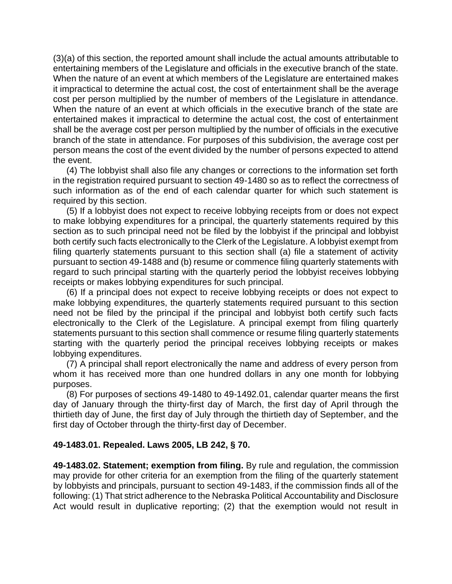(3)(a) of this section, the reported amount shall include the actual amounts attributable to entertaining members of the Legislature and officials in the executive branch of the state. When the nature of an event at which members of the Legislature are entertained makes it impractical to determine the actual cost, the cost of entertainment shall be the average cost per person multiplied by the number of members of the Legislature in attendance. When the nature of an event at which officials in the executive branch of the state are entertained makes it impractical to determine the actual cost, the cost of entertainment shall be the average cost per person multiplied by the number of officials in the executive branch of the state in attendance. For purposes of this subdivision, the average cost per person means the cost of the event divided by the number of persons expected to attend the event.

(4) The lobbyist shall also file any changes or corrections to the information set forth in the registration required pursuant to section 49-1480 so as to reflect the correctness of such information as of the end of each calendar quarter for which such statement is required by this section.

(5) If a lobbyist does not expect to receive lobbying receipts from or does not expect to make lobbying expenditures for a principal, the quarterly statements required by this section as to such principal need not be filed by the lobbyist if the principal and lobbyist both certify such facts electronically to the Clerk of the Legislature. A lobbyist exempt from filing quarterly statements pursuant to this section shall (a) file a statement of activity pursuant to section 49-1488 and (b) resume or commence filing quarterly statements with regard to such principal starting with the quarterly period the lobbyist receives lobbying receipts or makes lobbying expenditures for such principal.

(6) If a principal does not expect to receive lobbying receipts or does not expect to make lobbying expenditures, the quarterly statements required pursuant to this section need not be filed by the principal if the principal and lobbyist both certify such facts electronically to the Clerk of the Legislature. A principal exempt from filing quarterly statements pursuant to this section shall commence or resume filing quarterly statements starting with the quarterly period the principal receives lobbying receipts or makes lobbying expenditures.

(7) A principal shall report electronically the name and address of every person from whom it has received more than one hundred dollars in any one month for lobbying purposes.

(8) For purposes of sections 49-1480 to 49-1492.01, calendar quarter means the first day of January through the thirty-first day of March, the first day of April through the thirtieth day of June, the first day of July through the thirtieth day of September, and the first day of October through the thirty-first day of December.

### **49-1483.01. Repealed. Laws 2005, LB 242, § 70.**

**49-1483.02. Statement; exemption from filing.** By rule and regulation, the commission may provide for other criteria for an exemption from the filing of the quarterly statement by lobbyists and principals, pursuant to section 49-1483, if the commission finds all of the following: (1) That strict adherence to the Nebraska Political Accountability and Disclosure Act would result in duplicative reporting; (2) that the exemption would not result in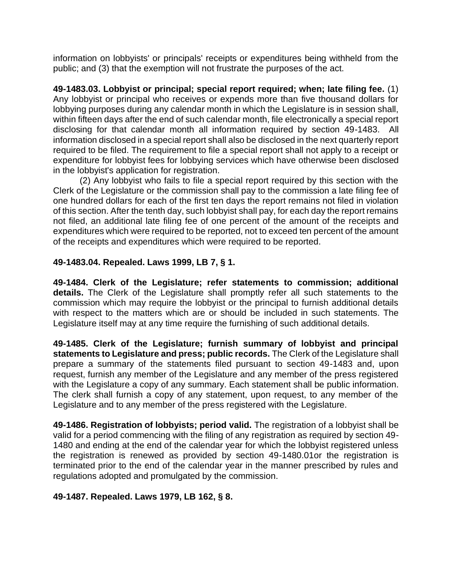information on lobbyists' or principals' receipts or expenditures being withheld from the public; and (3) that the exemption will not frustrate the purposes of the act.

**49-1483.03. Lobbyist or principal; special report required; when; late filing fee.** (1) Any lobbyist or principal who receives or expends more than five thousand dollars for lobbying purposes during any calendar month in which the Legislature is in session shall, within fifteen days after the end of such calendar month, file electronically a special report disclosing for that calendar month all information required by section 49-1483. All information disclosed in a special report shall also be disclosed in the next quarterly report required to be filed. The requirement to file a special report shall not apply to a receipt or expenditure for lobbyist fees for lobbying services which have otherwise been disclosed in the lobbyist's application for registration.

(2) Any lobbyist who fails to file a special report required by this section with the Clerk of the Legislature or the commission shall pay to the commission a late filing fee of one hundred dollars for each of the first ten days the report remains not filed in violation of this section. After the tenth day, such lobbyist shall pay, for each day the report remains not filed, an additional late filing fee of one percent of the amount of the receipts and expenditures which were required to be reported, not to exceed ten percent of the amount of the receipts and expenditures which were required to be reported.

### **49-1483.04. Repealed. Laws 1999, LB 7, § 1.**

**49-1484. Clerk of the Legislature; refer statements to commission; additional details.** The Clerk of the Legislature shall promptly refer all such statements to the commission which may require the lobbyist or the principal to furnish additional details with respect to the matters which are or should be included in such statements. The Legislature itself may at any time require the furnishing of such additional details.

**49-1485. Clerk of the Legislature; furnish summary of lobbyist and principal statements to Legislature and press; public records.** The Clerk of the Legislature shall prepare a summary of the statements filed pursuant to section 49-1483 and, upon request, furnish any member of the Legislature and any member of the press registered with the Legislature a copy of any summary. Each statement shall be public information. The clerk shall furnish a copy of any statement, upon request, to any member of the Legislature and to any member of the press registered with the Legislature.

**49-1486. Registration of lobbyists; period valid.** The registration of a lobbyist shall be valid for a period commencing with the filing of any registration as required by section 49- 1480 and ending at the end of the calendar year for which the lobbyist registered unless the registration is renewed as provided by section 49-1480.01or the registration is terminated prior to the end of the calendar year in the manner prescribed by rules and regulations adopted and promulgated by the commission.

### **49-1487. Repealed. Laws 1979, LB 162, § 8.**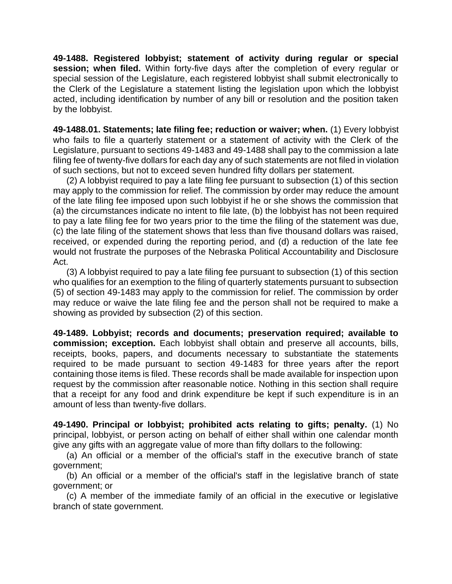**49-1488. Registered lobbyist; statement of activity during regular or special session; when filed.** Within forty-five days after the completion of every regular or special session of the Legislature, each registered lobbyist shall submit electronically to the Clerk of the Legislature a statement listing the legislation upon which the lobbyist acted, including identification by number of any bill or resolution and the position taken by the lobbyist.

**49-1488.01. Statements; late filing fee; reduction or waiver; when.** (1) Every lobbyist who fails to file a quarterly statement or a statement of activity with the Clerk of the Legislature, pursuant to sections 49-1483 and 49-1488 shall pay to the commission a late filing fee of twenty-five dollars for each day any of such statements are not filed in violation of such sections, but not to exceed seven hundred fifty dollars per statement.

(2) A lobbyist required to pay a late filing fee pursuant to subsection (1) of this section may apply to the commission for relief. The commission by order may reduce the amount of the late filing fee imposed upon such lobbyist if he or she shows the commission that (a) the circumstances indicate no intent to file late, (b) the lobbyist has not been required to pay a late filing fee for two years prior to the time the filing of the statement was due, (c) the late filing of the statement shows that less than five thousand dollars was raised, received, or expended during the reporting period, and (d) a reduction of the late fee would not frustrate the purposes of the Nebraska Political Accountability and Disclosure Act.

(3) A lobbyist required to pay a late filing fee pursuant to subsection (1) of this section who qualifies for an exemption to the filing of quarterly statements pursuant to subsection (5) of section 49-1483 may apply to the commission for relief. The commission by order may reduce or waive the late filing fee and the person shall not be required to make a showing as provided by subsection (2) of this section.

**49-1489. Lobbyist; records and documents; preservation required; available to commission; exception.** Each lobbyist shall obtain and preserve all accounts, bills, receipts, books, papers, and documents necessary to substantiate the statements required to be made pursuant to section 49-1483 for three years after the report containing those items is filed. These records shall be made available for inspection upon request by the commission after reasonable notice. Nothing in this section shall require that a receipt for any food and drink expenditure be kept if such expenditure is in an amount of less than twenty-five dollars.

**49-1490. Principal or lobbyist; prohibited acts relating to gifts; penalty.** (1) No principal, lobbyist, or person acting on behalf of either shall within one calendar month give any gifts with an aggregate value of more than fifty dollars to the following:

(a) An official or a member of the official's staff in the executive branch of state government;

(b) An official or a member of the official's staff in the legislative branch of state government; or

(c) A member of the immediate family of an official in the executive or legislative branch of state government.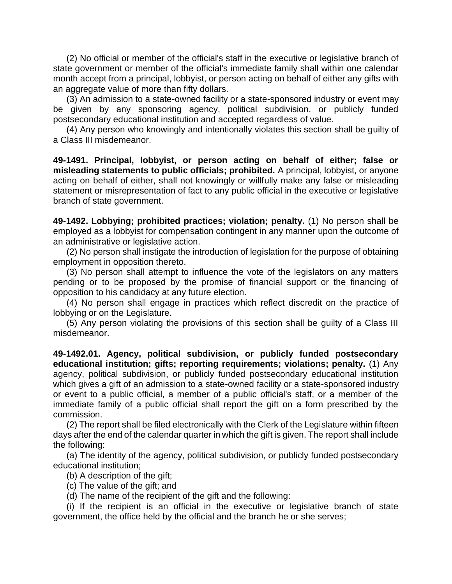(2) No official or member of the official's staff in the executive or legislative branch of state government or member of the official's immediate family shall within one calendar month accept from a principal, lobbyist, or person acting on behalf of either any gifts with an aggregate value of more than fifty dollars.

(3) An admission to a state-owned facility or a state-sponsored industry or event may be given by any sponsoring agency, political subdivision, or publicly funded postsecondary educational institution and accepted regardless of value.

(4) Any person who knowingly and intentionally violates this section shall be guilty of a Class III misdemeanor.

**49-1491. Principal, lobbyist, or person acting on behalf of either; false or misleading statements to public officials; prohibited.** A principal, lobbyist, or anyone acting on behalf of either, shall not knowingly or willfully make any false or misleading statement or misrepresentation of fact to any public official in the executive or legislative branch of state government.

**49-1492. Lobbying; prohibited practices; violation; penalty.** (1) No person shall be employed as a lobbyist for compensation contingent in any manner upon the outcome of an administrative or legislative action.

(2) No person shall instigate the introduction of legislation for the purpose of obtaining employment in opposition thereto.

(3) No person shall attempt to influence the vote of the legislators on any matters pending or to be proposed by the promise of financial support or the financing of opposition to his candidacy at any future election.

(4) No person shall engage in practices which reflect discredit on the practice of lobbying or on the Legislature.

(5) Any person violating the provisions of this section shall be guilty of a Class III misdemeanor.

**49-1492.01. Agency, political subdivision, or publicly funded postsecondary educational institution; gifts; reporting requirements; violations; penalty.** (1) Any agency, political subdivision, or publicly funded postsecondary educational institution which gives a gift of an admission to a state-owned facility or a state-sponsored industry or event to a public official, a member of a public official's staff, or a member of the immediate family of a public official shall report the gift on a form prescribed by the commission.

(2) The report shall be filed electronically with the Clerk of the Legislature within fifteen days after the end of the calendar quarter in which the gift is given. The report shall include the following:

(a) The identity of the agency, political subdivision, or publicly funded postsecondary educational institution;

(b) A description of the gift;

(c) The value of the gift; and

(d) The name of the recipient of the gift and the following:

(i) If the recipient is an official in the executive or legislative branch of state government, the office held by the official and the branch he or she serves;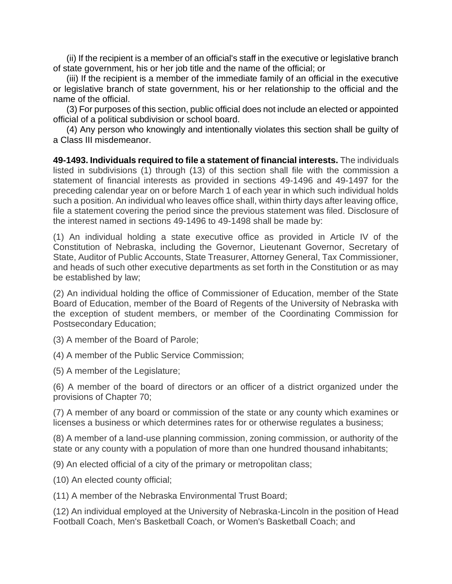(ii) If the recipient is a member of an official's staff in the executive or legislative branch of state government, his or her job title and the name of the official; or

(iii) If the recipient is a member of the immediate family of an official in the executive or legislative branch of state government, his or her relationship to the official and the name of the official.

(3) For purposes of this section, public official does not include an elected or appointed official of a political subdivision or school board.

(4) Any person who knowingly and intentionally violates this section shall be guilty of a Class III misdemeanor.

**49-1493. Individuals required to file a statement of financial interests.** The individuals listed in subdivisions (1) through (13) of this section shall file with the commission a statement of financial interests as provided in sections 49-1496 and 49-1497 for the preceding calendar year on or before March 1 of each year in which such individual holds such a position. An individual who leaves office shall, within thirty days after leaving office, file a statement covering the period since the previous statement was filed. Disclosure of the interest named in sections 49-1496 to 49-1498 shall be made by:

(1) An individual holding a state executive office as provided in Article IV of the Constitution of Nebraska, including the Governor, Lieutenant Governor, Secretary of State, Auditor of Public Accounts, State Treasurer, Attorney General, Tax Commissioner, and heads of such other executive departments as set forth in the Constitution or as may be established by law;

(2) An individual holding the office of Commissioner of Education, member of the State Board of Education, member of the Board of Regents of the University of Nebraska with the exception of student members, or member of the Coordinating Commission for Postsecondary Education;

(3) A member of the Board of Parole;

(4) A member of the Public Service Commission;

(5) A member of the Legislature;

(6) A member of the board of directors or an officer of a district organized under the provisions of Chapter 70;

(7) A member of any board or commission of the state or any county which examines or licenses a business or which determines rates for or otherwise regulates a business;

(8) A member of a land-use planning commission, zoning commission, or authority of the state or any county with a population of more than one hundred thousand inhabitants;

(9) An elected official of a city of the primary or metropolitan class;

(10) An elected county official;

(11) A member of the Nebraska Environmental Trust Board;

(12) An individual employed at the University of Nebraska-Lincoln in the position of Head Football Coach, Men's Basketball Coach, or Women's Basketball Coach; and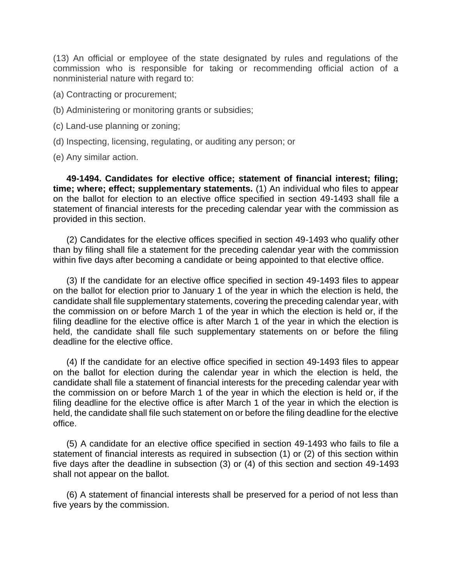(13) An official or employee of the state designated by rules and regulations of the commission who is responsible for taking or recommending official action of a nonministerial nature with regard to:

- (a) Contracting or procurement;
- (b) Administering or monitoring grants or subsidies;
- (c) Land-use planning or zoning;
- (d) Inspecting, licensing, regulating, or auditing any person; or
- (e) Any similar action.

**49-1494. Candidates for elective office; statement of financial interest; filing; time; where; effect; supplementary statements.** (1) An individual who files to appear on the ballot for election to an elective office specified in section 49-1493 shall file a statement of financial interests for the preceding calendar year with the commission as provided in this section.

(2) Candidates for the elective offices specified in section 49-1493 who qualify other than by filing shall file a statement for the preceding calendar year with the commission within five days after becoming a candidate or being appointed to that elective office.

(3) If the candidate for an elective office specified in section 49-1493 files to appear on the ballot for election prior to January 1 of the year in which the election is held, the candidate shall file supplementary statements, covering the preceding calendar year, with the commission on or before March 1 of the year in which the election is held or, if the filing deadline for the elective office is after March 1 of the year in which the election is held, the candidate shall file such supplementary statements on or before the filing deadline for the elective office.

(4) If the candidate for an elective office specified in section 49-1493 files to appear on the ballot for election during the calendar year in which the election is held, the candidate shall file a statement of financial interests for the preceding calendar year with the commission on or before March 1 of the year in which the election is held or, if the filing deadline for the elective office is after March 1 of the year in which the election is held, the candidate shall file such statement on or before the filing deadline for the elective office.

(5) A candidate for an elective office specified in section 49-1493 who fails to file a statement of financial interests as required in subsection (1) or (2) of this section within five days after the deadline in subsection (3) or (4) of this section and section 49-1493 shall not appear on the ballot.

(6) A statement of financial interests shall be preserved for a period of not less than five years by the commission.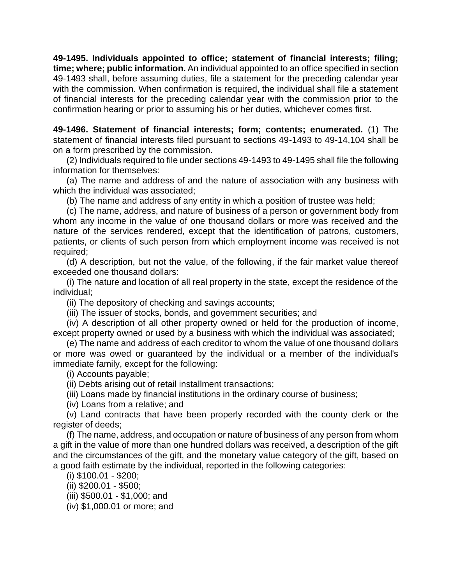**49-1495. Individuals appointed to office; statement of financial interests; filing; time; where; public information.** An individual appointed to an office specified in section 49-1493 shall, before assuming duties, file a statement for the preceding calendar year with the commission. When confirmation is required, the individual shall file a statement of financial interests for the preceding calendar year with the commission prior to the confirmation hearing or prior to assuming his or her duties, whichever comes first.

**49-1496. Statement of financial interests; form; contents; enumerated.** (1) The statement of financial interests filed pursuant to sections 49-1493 to 49-14,104 shall be on a form prescribed by the commission.

(2) Individuals required to file under sections 49-1493 to 49-1495 shall file the following information for themselves:

(a) The name and address of and the nature of association with any business with which the individual was associated;

(b) The name and address of any entity in which a position of trustee was held;

(c) The name, address, and nature of business of a person or government body from whom any income in the value of one thousand dollars or more was received and the nature of the services rendered, except that the identification of patrons, customers, patients, or clients of such person from which employment income was received is not required;

(d) A description, but not the value, of the following, if the fair market value thereof exceeded one thousand dollars:

(i) The nature and location of all real property in the state, except the residence of the individual;

(ii) The depository of checking and savings accounts;

(iii) The issuer of stocks, bonds, and government securities; and

(iv) A description of all other property owned or held for the production of income, except property owned or used by a business with which the individual was associated;

(e) The name and address of each creditor to whom the value of one thousand dollars or more was owed or guaranteed by the individual or a member of the individual's immediate family, except for the following:

(i) Accounts payable;

(ii) Debts arising out of retail installment transactions;

(iii) Loans made by financial institutions in the ordinary course of business;

(iv) Loans from a relative; and

(v) Land contracts that have been properly recorded with the county clerk or the register of deeds;

(f) The name, address, and occupation or nature of business of any person from whom a gift in the value of more than one hundred dollars was received, a description of the gift and the circumstances of the gift, and the monetary value category of the gift, based on a good faith estimate by the individual, reported in the following categories:

(i) \$100.01 - \$200;

(ii) \$200.01 - \$500;

(iii) \$500.01 - \$1,000; and

(iv) \$1,000.01 or more; and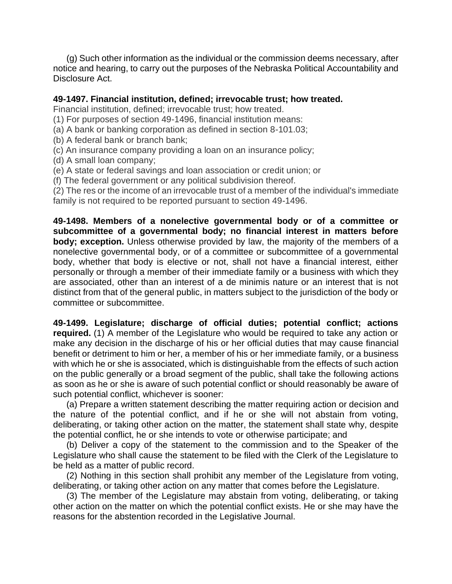(g) Such other information as the individual or the commission deems necessary, after notice and hearing, to carry out the purposes of the Nebraska Political Accountability and Disclosure Act.

#### **49-1497. Financial institution, defined; irrevocable trust; how treated.**

Financial institution, defined; irrevocable trust; how treated.

- (1) For purposes of section 49-1496, financial institution means:
- (a) A bank or banking corporation as defined in section 8-101.03;
- (b) A federal bank or branch bank;
- (c) An insurance company providing a loan on an insurance policy;
- (d) A small loan company;
- (e) A state or federal savings and loan association or credit union; or
- (f) The federal government or any political subdivision thereof.

(2) The res or the income of an irrevocable trust of a member of the individual's immediate family is not required to be reported pursuant to section 49-1496.

**49-1498. Members of a nonelective governmental body or of a committee or subcommittee of a governmental body; no financial interest in matters before body; exception.** Unless otherwise provided by law, the majority of the members of a nonelective governmental body, or of a committee or subcommittee of a governmental body, whether that body is elective or not, shall not have a financial interest, either personally or through a member of their immediate family or a business with which they are associated, other than an interest of a de minimis nature or an interest that is not distinct from that of the general public, in matters subject to the jurisdiction of the body or committee or subcommittee.

**49-1499. Legislature; discharge of official duties; potential conflict; actions required.** (1) A member of the Legislature who would be required to take any action or make any decision in the discharge of his or her official duties that may cause financial benefit or detriment to him or her, a member of his or her immediate family, or a business with which he or she is associated, which is distinguishable from the effects of such action on the public generally or a broad segment of the public, shall take the following actions as soon as he or she is aware of such potential conflict or should reasonably be aware of such potential conflict, whichever is sooner:

(a) Prepare a written statement describing the matter requiring action or decision and the nature of the potential conflict, and if he or she will not abstain from voting, deliberating, or taking other action on the matter, the statement shall state why, despite the potential conflict, he or she intends to vote or otherwise participate; and

(b) Deliver a copy of the statement to the commission and to the Speaker of the Legislature who shall cause the statement to be filed with the Clerk of the Legislature to be held as a matter of public record.

(2) Nothing in this section shall prohibit any member of the Legislature from voting, deliberating, or taking other action on any matter that comes before the Legislature.

(3) The member of the Legislature may abstain from voting, deliberating, or taking other action on the matter on which the potential conflict exists. He or she may have the reasons for the abstention recorded in the Legislative Journal.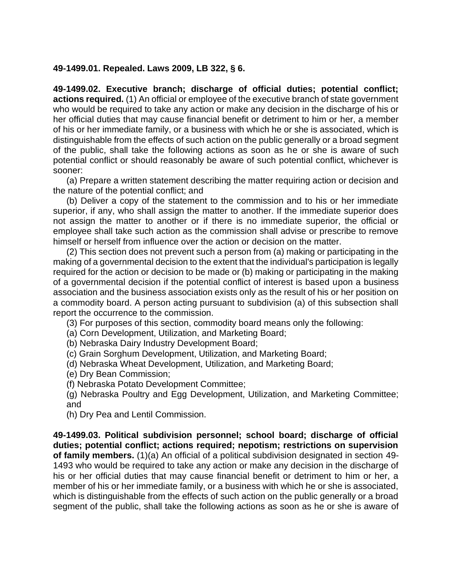#### **49-1499.01. Repealed. Laws 2009, LB 322, § 6.**

**49-1499.02. Executive branch; discharge of official duties; potential conflict; actions required.** (1) An official or employee of the executive branch of state government who would be required to take any action or make any decision in the discharge of his or her official duties that may cause financial benefit or detriment to him or her, a member of his or her immediate family, or a business with which he or she is associated, which is distinguishable from the effects of such action on the public generally or a broad segment of the public, shall take the following actions as soon as he or she is aware of such potential conflict or should reasonably be aware of such potential conflict, whichever is sooner:

(a) Prepare a written statement describing the matter requiring action or decision and the nature of the potential conflict; and

(b) Deliver a copy of the statement to the commission and to his or her immediate superior, if any, who shall assign the matter to another. If the immediate superior does not assign the matter to another or if there is no immediate superior, the official or employee shall take such action as the commission shall advise or prescribe to remove himself or herself from influence over the action or decision on the matter.

(2) This section does not prevent such a person from (a) making or participating in the making of a governmental decision to the extent that the individual's participation is legally required for the action or decision to be made or (b) making or participating in the making of a governmental decision if the potential conflict of interest is based upon a business association and the business association exists only as the result of his or her position on a commodity board. A person acting pursuant to subdivision (a) of this subsection shall report the occurrence to the commission.

(3) For purposes of this section, commodity board means only the following:

- (a) Corn Development, Utilization, and Marketing Board;
- (b) Nebraska Dairy Industry Development Board;
- (c) Grain Sorghum Development, Utilization, and Marketing Board;
- (d) Nebraska Wheat Development, Utilization, and Marketing Board;
- (e) Dry Bean Commission;
- (f) Nebraska Potato Development Committee;
- (g) Nebraska Poultry and Egg Development, Utilization, and Marketing Committee; and
- (h) Dry Pea and Lentil Commission.

**49-1499.03. Political subdivision personnel; school board; discharge of official duties; potential conflict; actions required; nepotism; restrictions on supervision of family members.** (1)(a) An official of a political subdivision designated in section [49-](https://nebraskalegislature.gov/laws/statutes.php?statute=49-1493) [1493](https://nebraskalegislature.gov/laws/statutes.php?statute=49-1493) who would be required to take any action or make any decision in the discharge of his or her official duties that may cause financial benefit or detriment to him or her, a member of his or her immediate family, or a business with which he or she is associated, which is distinguishable from the effects of such action on the public generally or a broad segment of the public, shall take the following actions as soon as he or she is aware of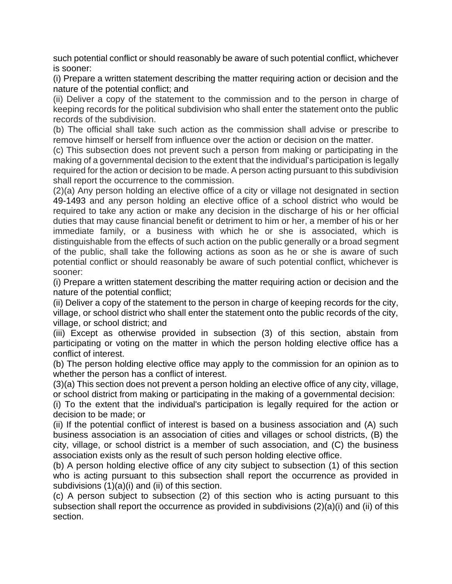such potential conflict or should reasonably be aware of such potential conflict, whichever is sooner:

(i) Prepare a written statement describing the matter requiring action or decision and the nature of the potential conflict; and

(ii) Deliver a copy of the statement to the commission and to the person in charge of keeping records for the political subdivision who shall enter the statement onto the public records of the subdivision.

(b) The official shall take such action as the commission shall advise or prescribe to remove himself or herself from influence over the action or decision on the matter.

(c) This subsection does not prevent such a person from making or participating in the making of a governmental decision to the extent that the individual's participation is legally required for the action or decision to be made. A person acting pursuant to this subdivision shall report the occurrence to the commission.

(2)(a) Any person holding an elective office of a city or village not designated in section [49-1493](https://nebraskalegislature.gov/laws/statutes.php?statute=49-1493) and any person holding an elective office of a school district who would be required to take any action or make any decision in the discharge of his or her official duties that may cause financial benefit or detriment to him or her, a member of his or her immediate family, or a business with which he or she is associated, which is distinguishable from the effects of such action on the public generally or a broad segment of the public, shall take the following actions as soon as he or she is aware of such potential conflict or should reasonably be aware of such potential conflict, whichever is sooner:

(i) Prepare a written statement describing the matter requiring action or decision and the nature of the potential conflict;

(ii) Deliver a copy of the statement to the person in charge of keeping records for the city, village, or school district who shall enter the statement onto the public records of the city, village, or school district; and

(iii) Except as otherwise provided in subsection (3) of this section, abstain from participating or voting on the matter in which the person holding elective office has a conflict of interest.

(b) The person holding elective office may apply to the commission for an opinion as to whether the person has a conflict of interest.

(3)(a) This section does not prevent a person holding an elective office of any city, village, or school district from making or participating in the making of a governmental decision:

(i) To the extent that the individual's participation is legally required for the action or decision to be made; or

(ii) If the potential conflict of interest is based on a business association and (A) such business association is an association of cities and villages or school districts, (B) the city, village, or school district is a member of such association, and (C) the business association exists only as the result of such person holding elective office.

(b) A person holding elective office of any city subject to subsection (1) of this section who is acting pursuant to this subsection shall report the occurrence as provided in subdivisions (1)(a)(i) and (ii) of this section.

(c) A person subject to subsection (2) of this section who is acting pursuant to this subsection shall report the occurrence as provided in subdivisions (2)(a)(i) and (ii) of this section.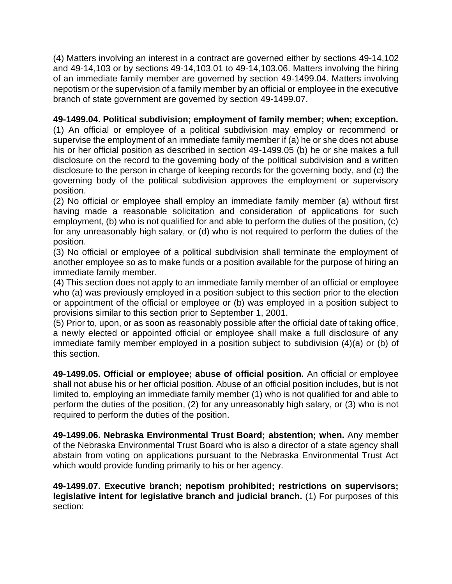(4) Matters involving an interest in a contract are governed either by sections [49-14,102](https://nebraskalegislature.gov/laws/statutes.php?statute=49-14,102) and [49-14,103](https://nebraskalegislature.gov/laws/statutes.php?statute=49-14,103) or by sections [49-14,103.01](https://nebraskalegislature.gov/laws/statutes.php?statute=49-14,103.01) to [49-14,103.06.](https://nebraskalegislature.gov/laws/statutes.php?statute=49-14,103.06) Matters involving the hiring of an immediate family member are governed by section [49-1499.04.](https://nebraskalegislature.gov/laws/statutes.php?statute=49-1499.04) Matters involving nepotism or the supervision of a family member by an official or employee in the executive branch of state government are governed by section [49-1499.07.](https://nebraskalegislature.gov/laws/statutes.php?statute=49-1499.07)

# **49-1499.04. Political subdivision; employment of family member; when; exception.**

(1) An official or employee of a political subdivision may employ or recommend or supervise the employment of an immediate family member if (a) he or she does not abuse his or her official position as described in section 49-1499.05 (b) he or she makes a full disclosure on the record to the governing body of the political subdivision and a written disclosure to the person in charge of keeping records for the governing body, and (c) the governing body of the political subdivision approves the employment or supervisory position.

(2) No official or employee shall employ an immediate family member (a) without first having made a reasonable solicitation and consideration of applications for such employment, (b) who is not qualified for and able to perform the duties of the position, (c) for any unreasonably high salary, or (d) who is not required to perform the duties of the position.

(3) No official or employee of a political subdivision shall terminate the employment of another employee so as to make funds or a position available for the purpose of hiring an immediate family member.

(4) This section does not apply to an immediate family member of an official or employee who (a) was previously employed in a position subject to this section prior to the election or appointment of the official or employee or (b) was employed in a position subject to provisions similar to this section prior to September 1, 2001.

(5) Prior to, upon, or as soon as reasonably possible after the official date of taking office, a newly elected or appointed official or employee shall make a full disclosure of any immediate family member employed in a position subject to subdivision (4)(a) or (b) of this section.

**49-1499.05. Official or employee; abuse of official position.** An official or employee shall not abuse his or her official position. Abuse of an official position includes, but is not limited to, employing an immediate family member (1) who is not qualified for and able to perform the duties of the position, (2) for any unreasonably high salary, or (3) who is not required to perform the duties of the position.

**49-1499.06. Nebraska Environmental Trust Board; abstention; when.** Any member of the Nebraska Environmental Trust Board who is also a director of a state agency shall abstain from voting on applications pursuant to the Nebraska Environmental Trust Act which would provide funding primarily to his or her agency.

**49-1499.07. Executive branch; nepotism prohibited; restrictions on supervisors; legislative intent for legislative branch and judicial branch.** (1) For purposes of this section: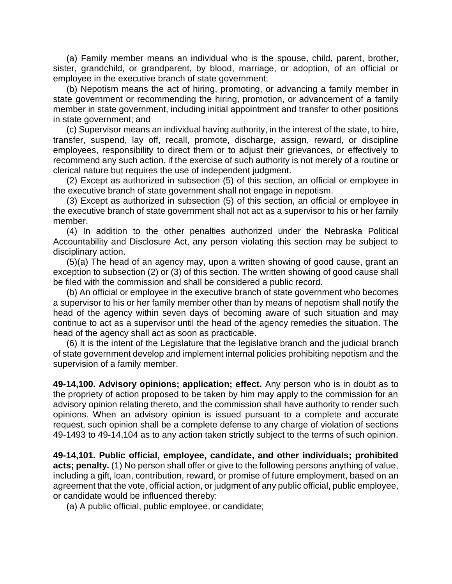(a) Family member means an individual who is the spouse, child, parent, brother, sister, grandchild, or grandparent, by blood, marriage, or adoption, of an official or employee in the executive branch of state government;

(b) Nepotism means the act of hiring, promoting, or advancing a family member in state government or recommending the hiring, promotion, or advancement of a family member in state government, including initial appointment and transfer to other positions in state government; and

(c) Supervisor means an individual having authority, in the interest of the state, to hire, transfer, suspend, lay off, recall, promote, discharge, assign, reward, or discipline employees, responsibility to direct them or to adjust their grievances, or effectively to recommend any such action, if the exercise of such authority is not merely of a routine or clerical nature but requires the use of independent judgment.

(2) Except as authorized in subsection (5) of this section, an official or employee in the executive branch of state government shall not engage in nepotism.

(3) Except as authorized in subsection (5) of this section, an official or employee in the executive branch of state government shall not act as a supervisor to his or her family member.

(4) In addition to the other penalties authorized under the Nebraska Political Accountability and Disclosure Act, any person violating this section may be subject to disciplinary action.

(5)(a) The head of an agency may, upon a written showing of good cause, grant an exception to subsection (2) or (3) of this section. The written showing of good cause shall be filed with the commission and shall be considered a public record.

(b) An official or employee in the executive branch of state government who becomes a supervisor to his or her family member other than by means of nepotism shall notify the head of the agency within seven days of becoming aware of such situation and may continue to act as a supervisor until the head of the agency remedies the situation. The head of the agency shall act as soon as practicable.

(6) It is the intent of the Legislature that the legislative branch and the judicial branch of state government develop and implement internal policies prohibiting nepotism and the supervision of a family member.

**49-14,100. Advisory opinions; application; effect.** Any person who is in doubt as to the propriety of action proposed to be taken by him may apply to the commission for an advisory opinion relating thereto, and the commission shall have authority to render such opinions. When an advisory opinion is issued pursuant to a complete and accurate request, such opinion shall be a complete defense to any charge of violation of sections 49-1493 to 49-14,104 as to any action taken strictly subject to the terms of such opinion.

**49-14,101. Public official, employee, candidate, and other individuals; prohibited acts; penalty.** (1) No person shall offer or give to the following persons anything of value, including a gift, loan, contribution, reward, or promise of future employment, based on an agreement that the vote, official action, or judgment of any public official, public employee, or candidate would be influenced thereby:

(a) A public official, public employee, or candidate;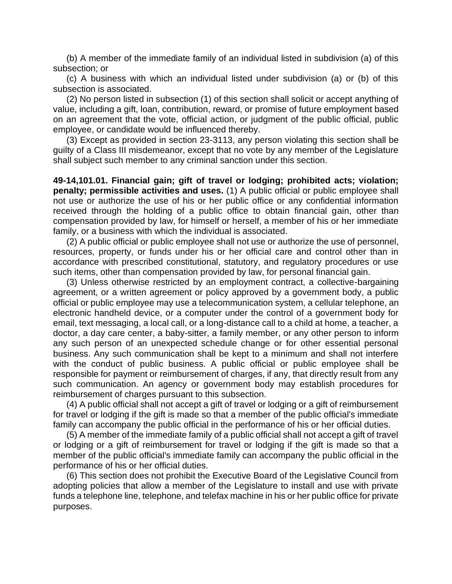(b) A member of the immediate family of an individual listed in subdivision (a) of this subsection; or

(c) A business with which an individual listed under subdivision (a) or (b) of this subsection is associated.

(2) No person listed in subsection (1) of this section shall solicit or accept anything of value, including a gift, loan, contribution, reward, or promise of future employment based on an agreement that the vote, official action, or judgment of the public official, public employee, or candidate would be influenced thereby.

(3) Except as provided in section 23-3113, any person violating this section shall be guilty of a Class III misdemeanor, except that no vote by any member of the Legislature shall subject such member to any criminal sanction under this section.

**49-14,101.01. Financial gain; gift of travel or lodging; prohibited acts; violation; penalty; permissible activities and uses.** (1) A public official or public employee shall not use or authorize the use of his or her public office or any confidential information received through the holding of a public office to obtain financial gain, other than compensation provided by law, for himself or herself, a member of his or her immediate family, or a business with which the individual is associated.

(2) A public official or public employee shall not use or authorize the use of personnel, resources, property, or funds under his or her official care and control other than in accordance with prescribed constitutional, statutory, and regulatory procedures or use such items, other than compensation provided by law, for personal financial gain.

(3) Unless otherwise restricted by an employment contract, a collective-bargaining agreement, or a written agreement or policy approved by a government body, a public official or public employee may use a telecommunication system, a cellular telephone, an electronic handheld device, or a computer under the control of a government body for email, text messaging, a local call, or a long-distance call to a child at home, a teacher, a doctor, a day care center, a baby-sitter, a family member, or any other person to inform any such person of an unexpected schedule change or for other essential personal business. Any such communication shall be kept to a minimum and shall not interfere with the conduct of public business. A public official or public employee shall be responsible for payment or reimbursement of charges, if any, that directly result from any such communication. An agency or government body may establish procedures for reimbursement of charges pursuant to this subsection.

(4) A public official shall not accept a gift of travel or lodging or a gift of reimbursement for travel or lodging if the gift is made so that a member of the public official's immediate family can accompany the public official in the performance of his or her official duties.

(5) A member of the immediate family of a public official shall not accept a gift of travel or lodging or a gift of reimbursement for travel or lodging if the gift is made so that a member of the public official's immediate family can accompany the public official in the performance of his or her official duties.

(6) This section does not prohibit the Executive Board of the Legislative Council from adopting policies that allow a member of the Legislature to install and use with private funds a telephone line, telephone, and telefax machine in his or her public office for private purposes.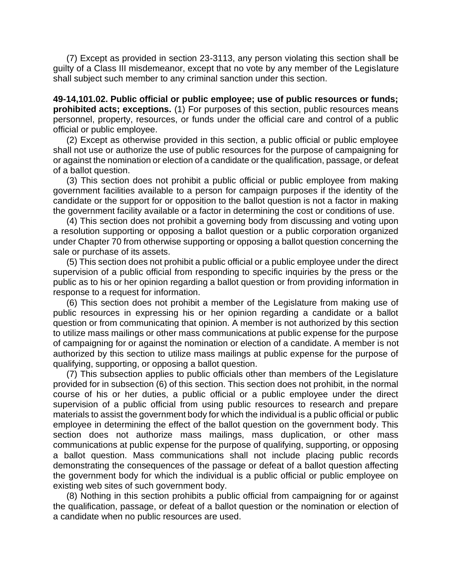(7) Except as provided in section 23-3113, any person violating this section shall be guilty of a Class III misdemeanor, except that no vote by any member of the Legislature shall subject such member to any criminal sanction under this section.

**49-14,101.02. Public official or public employee; use of public resources or funds; prohibited acts; exceptions.** (1) For purposes of this section, public resources means personnel, property, resources, or funds under the official care and control of a public official or public employee.

(2) Except as otherwise provided in this section, a public official or public employee shall not use or authorize the use of public resources for the purpose of campaigning for or against the nomination or election of a candidate or the qualification, passage, or defeat of a ballot question.

(3) This section does not prohibit a public official or public employee from making government facilities available to a person for campaign purposes if the identity of the candidate or the support for or opposition to the ballot question is not a factor in making the government facility available or a factor in determining the cost or conditions of use.

(4) This section does not prohibit a governing body from discussing and voting upon a resolution supporting or opposing a ballot question or a public corporation organized under Chapter 70 from otherwise supporting or opposing a ballot question concerning the sale or purchase of its assets.

(5) This section does not prohibit a public official or a public employee under the direct supervision of a public official from responding to specific inquiries by the press or the public as to his or her opinion regarding a ballot question or from providing information in response to a request for information.

(6) This section does not prohibit a member of the Legislature from making use of public resources in expressing his or her opinion regarding a candidate or a ballot question or from communicating that opinion. A member is not authorized by this section to utilize mass mailings or other mass communications at public expense for the purpose of campaigning for or against the nomination or election of a candidate. A member is not authorized by this section to utilize mass mailings at public expense for the purpose of qualifying, supporting, or opposing a ballot question.

(7) This subsection applies to public officials other than members of the Legislature provided for in subsection (6) of this section. This section does not prohibit, in the normal course of his or her duties, a public official or a public employee under the direct supervision of a public official from using public resources to research and prepare materials to assist the government body for which the individual is a public official or public employee in determining the effect of the ballot question on the government body. This section does not authorize mass mailings, mass duplication, or other mass communications at public expense for the purpose of qualifying, supporting, or opposing a ballot question. Mass communications shall not include placing public records demonstrating the consequences of the passage or defeat of a ballot question affecting the government body for which the individual is a public official or public employee on existing web sites of such government body.

(8) Nothing in this section prohibits a public official from campaigning for or against the qualification, passage, or defeat of a ballot question or the nomination or election of a candidate when no public resources are used.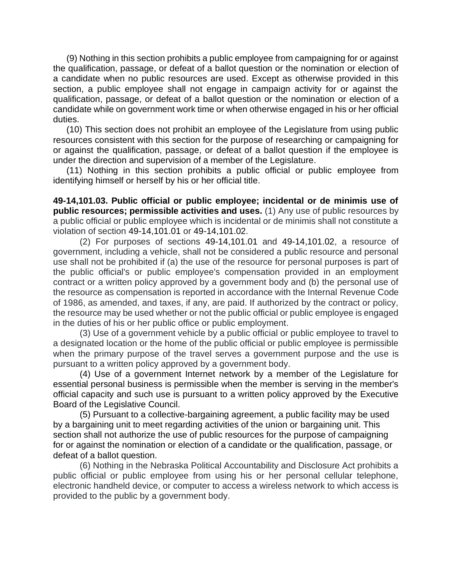(9) Nothing in this section prohibits a public employee from campaigning for or against the qualification, passage, or defeat of a ballot question or the nomination or election of a candidate when no public resources are used. Except as otherwise provided in this section, a public employee shall not engage in campaign activity for or against the qualification, passage, or defeat of a ballot question or the nomination or election of a candidate while on government work time or when otherwise engaged in his or her official duties.

(10) This section does not prohibit an employee of the Legislature from using public resources consistent with this section for the purpose of researching or campaigning for or against the qualification, passage, or defeat of a ballot question if the employee is under the direction and supervision of a member of the Legislature.

(11) Nothing in this section prohibits a public official or public employee from identifying himself or herself by his or her official title.

**49-14,101.03. Public official or public employee; incidental or de minimis use of public resources; permissible activities and uses.** (1) Any use of public resources by a public official or public employee which is incidental or de minimis shall not constitute a violation of section [49-14,101.01](https://nebraskalegislature.gov/laws/statutes.php?statute=49-14,101.01) or [49-14,101.02.](https://nebraskalegislature.gov/laws/statutes.php?statute=49-14,101.02)

(2) For purposes of sections [49-14,101.01](https://nebraskalegislature.gov/laws/statutes.php?statute=49-14,101.01) and [49-14,101.02,](https://nebraskalegislature.gov/laws/statutes.php?statute=49-14,101.02) a resource of government, including a vehicle, shall not be considered a public resource and personal use shall not be prohibited if (a) the use of the resource for personal purposes is part of the public official's or public employee's compensation provided in an employment contract or a written policy approved by a government body and (b) the personal use of the resource as compensation is reported in accordance with the Internal Revenue Code of 1986, as amended, and taxes, if any, are paid. If authorized by the contract or policy, the resource may be used whether or not the public official or public employee is engaged in the duties of his or her public office or public employment.

(3) Use of a government vehicle by a public official or public employee to travel to a designated location or the home of the public official or public employee is permissible when the primary purpose of the travel serves a government purpose and the use is pursuant to a written policy approved by a government body.

(4) Use of a government Internet network by a member of the Legislature for essential personal business is permissible when the member is serving in the member's official capacity and such use is pursuant to a written policy approved by the Executive Board of the Legislative Council.

(5) Pursuant to a collective-bargaining agreement, a public facility may be used by a bargaining unit to meet regarding activities of the union or bargaining unit. This section shall not authorize the use of public resources for the purpose of campaigning for or against the nomination or election of a candidate or the qualification, passage, or defeat of a ballot question.

(6) Nothing in the Nebraska Political Accountability and Disclosure Act prohibits a public official or public employee from using his or her personal cellular telephone, electronic handheld device, or computer to access a wireless network to which access is provided to the public by a government body.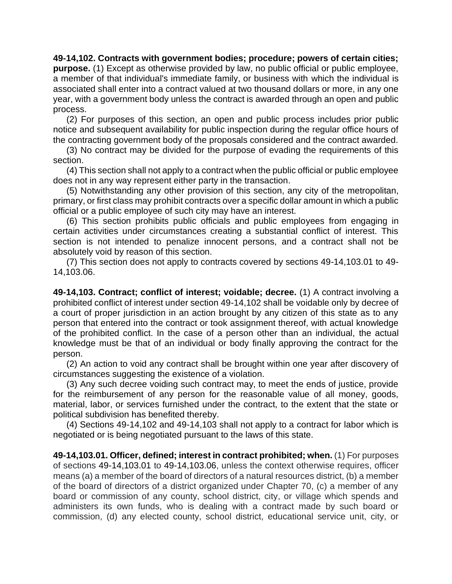**49-14,102. Contracts with government bodies; procedure; powers of certain cities; purpose.** (1) Except as otherwise provided by law, no public official or public employee, a member of that individual's immediate family, or business with which the individual is associated shall enter into a contract valued at two thousand dollars or more, in any one year, with a government body unless the contract is awarded through an open and public process.

(2) For purposes of this section, an open and public process includes prior public notice and subsequent availability for public inspection during the regular office hours of the contracting government body of the proposals considered and the contract awarded.

(3) No contract may be divided for the purpose of evading the requirements of this section.

(4) This section shall not apply to a contract when the public official or public employee does not in any way represent either party in the transaction.

(5) Notwithstanding any other provision of this section, any city of the metropolitan, primary, or first class may prohibit contracts over a specific dollar amount in which a public official or a public employee of such city may have an interest.

(6) This section prohibits public officials and public employees from engaging in certain activities under circumstances creating a substantial conflict of interest. This section is not intended to penalize innocent persons, and a contract shall not be absolutely void by reason of this section.

(7) This section does not apply to contracts covered by sections 49-14,103.01 to 49- 14,103.06.

**49-14,103. Contract; conflict of interest; voidable; decree.** (1) A contract involving a prohibited conflict of interest under section 49-14,102 shall be voidable only by decree of a court of proper jurisdiction in an action brought by any citizen of this state as to any person that entered into the contract or took assignment thereof, with actual knowledge of the prohibited conflict. In the case of a person other than an individual, the actual knowledge must be that of an individual or body finally approving the contract for the person.

(2) An action to void any contract shall be brought within one year after discovery of circumstances suggesting the existence of a violation.

(3) Any such decree voiding such contract may, to meet the ends of justice, provide for the reimbursement of any person for the reasonable value of all money, goods, material, labor, or services furnished under the contract, to the extent that the state or political subdivision has benefited thereby.

(4) Sections 49-14,102 and 49-14,103 shall not apply to a contract for labor which is negotiated or is being negotiated pursuant to the laws of this state.

**49-14,103.01. Officer, defined; interest in contract prohibited; when.** (1) For purposes of sections [49-14,103.01](https://nebraskalegislature.gov/laws/statutes.php?statute=49-14,103.01) to [49-14,103.06,](https://nebraskalegislature.gov/laws/statutes.php?statute=49-14,103.06) unless the context otherwise requires, officer means (a) a member of the board of directors of a natural resources district, (b) a member of the board of directors of a district organized under Chapter 70, (c) a member of any board or commission of any county, school district, city, or village which spends and administers its own funds, who is dealing with a contract made by such board or commission, (d) any elected county, school district, educational service unit, city, or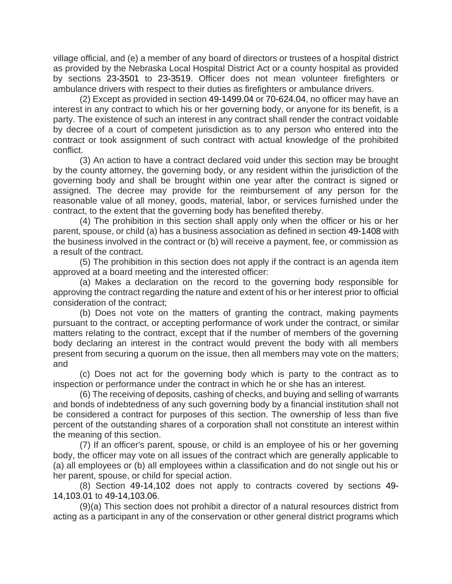village official, and (e) a member of any board of directors or trustees of a hospital district as provided by the Nebraska Local Hospital District Act or a county hospital as provided by sections [23-3501](https://nebraskalegislature.gov/laws/statutes.php?statute=23-3501) to [23-3519.](https://nebraskalegislature.gov/laws/statutes.php?statute=23-3519) Officer does not mean volunteer firefighters or ambulance drivers with respect to their duties as firefighters or ambulance drivers.

(2) Except as provided in section [49-1499.04](https://nebraskalegislature.gov/laws/statutes.php?statute=49-1499.04) or [70-624.04,](https://nebraskalegislature.gov/laws/statutes.php?statute=70-624.04) no officer may have an interest in any contract to which his or her governing body, or anyone for its benefit, is a party. The existence of such an interest in any contract shall render the contract voidable by decree of a court of competent jurisdiction as to any person who entered into the contract or took assignment of such contract with actual knowledge of the prohibited conflict.

(3) An action to have a contract declared void under this section may be brought by the county attorney, the governing body, or any resident within the jurisdiction of the governing body and shall be brought within one year after the contract is signed or assigned. The decree may provide for the reimbursement of any person for the reasonable value of all money, goods, material, labor, or services furnished under the contract, to the extent that the governing body has benefited thereby.

(4) The prohibition in this section shall apply only when the officer or his or her parent, spouse, or child (a) has a business association as defined in sectio[n 49-1408](https://nebraskalegislature.gov/laws/statutes.php?statute=49-1408) with the business involved in the contract or (b) will receive a payment, fee, or commission as a result of the contract.

(5) The prohibition in this section does not apply if the contract is an agenda item approved at a board meeting and the interested officer:

(a) Makes a declaration on the record to the governing body responsible for approving the contract regarding the nature and extent of his or her interest prior to official consideration of the contract;

(b) Does not vote on the matters of granting the contract, making payments pursuant to the contract, or accepting performance of work under the contract, or similar matters relating to the contract, except that if the number of members of the governing body declaring an interest in the contract would prevent the body with all members present from securing a quorum on the issue, then all members may vote on the matters; and

(c) Does not act for the governing body which is party to the contract as to inspection or performance under the contract in which he or she has an interest.

(6) The receiving of deposits, cashing of checks, and buying and selling of warrants and bonds of indebtedness of any such governing body by a financial institution shall not be considered a contract for purposes of this section. The ownership of less than five percent of the outstanding shares of a corporation shall not constitute an interest within the meaning of this section.

(7) If an officer's parent, spouse, or child is an employee of his or her governing body, the officer may vote on all issues of the contract which are generally applicable to (a) all employees or (b) all employees within a classification and do not single out his or her parent, spouse, or child for special action.

(8) Section [49-14,102](https://nebraskalegislature.gov/laws/statutes.php?statute=49-14,102) does not apply to contracts covered by sections [49-](https://nebraskalegislature.gov/laws/statutes.php?statute=49-14,103.01) [14,103.01](https://nebraskalegislature.gov/laws/statutes.php?statute=49-14,103.01) to [49-14,103.06.](https://nebraskalegislature.gov/laws/statutes.php?statute=49-14,103.06)

(9)(a) This section does not prohibit a director of a natural resources district from acting as a participant in any of the conservation or other general district programs which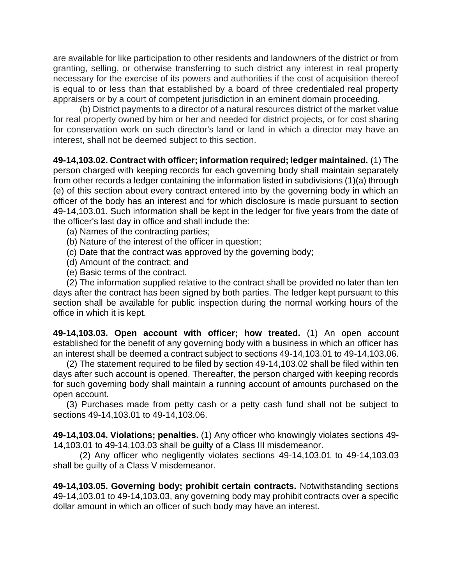are available for like participation to other residents and landowners of the district or from granting, selling, or otherwise transferring to such district any interest in real property necessary for the exercise of its powers and authorities if the cost of acquisition thereof is equal to or less than that established by a board of three credentialed real property appraisers or by a court of competent jurisdiction in an eminent domain proceeding.

(b) District payments to a director of a natural resources district of the market value for real property owned by him or her and needed for district projects, or for cost sharing for conservation work on such director's land or land in which a director may have an interest, shall not be deemed subject to this section.

**49-14,103.02. Contract with officer; information required; ledger maintained.** (1) The person charged with keeping records for each governing body shall maintain separately from other records a ledger containing the information listed in subdivisions (1)(a) through (e) of this section about every contract entered into by the governing body in which an officer of the body has an interest and for which disclosure is made pursuant to section 49-14,103.01. Such information shall be kept in the ledger for five years from the date of the officer's last day in office and shall include the:

- (a) Names of the contracting parties;
- (b) Nature of the interest of the officer in question;
- (c) Date that the contract was approved by the governing body;
- (d) Amount of the contract; and
- (e) Basic terms of the contract.

(2) The information supplied relative to the contract shall be provided no later than ten days after the contract has been signed by both parties. The ledger kept pursuant to this section shall be available for public inspection during the normal working hours of the office in which it is kept.

**49-14,103.03. Open account with officer; how treated.** (1) An open account established for the benefit of any governing body with a business in which an officer has an interest shall be deemed a contract subject to sections 49-14,103.01 to 49-14,103.06.

(2) The statement required to be filed by section 49-14,103.02 shall be filed within ten days after such account is opened. Thereafter, the person charged with keeping records for such governing body shall maintain a running account of amounts purchased on the open account.

(3) Purchases made from petty cash or a petty cash fund shall not be subject to sections 49-14,103.01 to 49-14,103.06.

**49-14,103.04. Violations; penalties.** (1) Any officer who knowingly violates sections 49- 14,103.01 to 49-14,103.03 shall be guilty of a Class III misdemeanor.

(2) Any officer who negligently violates sections 49-14,103.01 to 49-14,103.03 shall be guilty of a Class V misdemeanor.

**49-14,103.05. Governing body; prohibit certain contracts.** Notwithstanding sections 49-14,103.01 to 49-14,103.03, any governing body may prohibit contracts over a specific dollar amount in which an officer of such body may have an interest.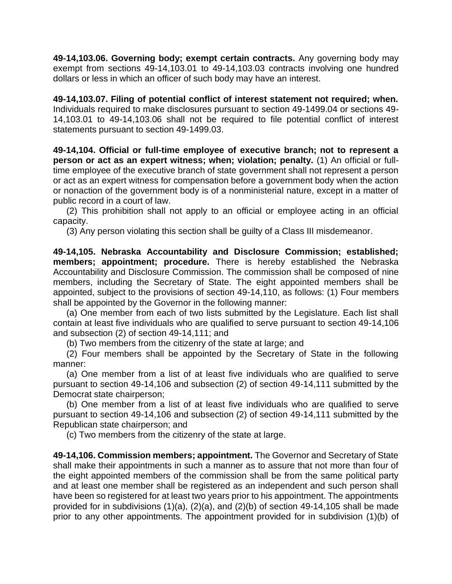**49-14,103.06. Governing body; exempt certain contracts.** Any governing body may exempt from sections 49-14,103.01 to 49-14,103.03 contracts involving one hundred dollars or less in which an officer of such body may have an interest.

**49-14,103.07. Filing of potential conflict of interest statement not required; when.** Individuals required to make disclosures pursuant to section 49-1499.04 or sections 49- 14,103.01 to 49-14,103.06 shall not be required to file potential conflict of interest statements pursuant to section 49-1499.03.

**49-14,104. Official or full-time employee of executive branch; not to represent a person or act as an expert witness; when; violation; penalty.** (1) An official or fulltime employee of the executive branch of state government shall not represent a person or act as an expert witness for compensation before a government body when the action or nonaction of the government body is of a nonministerial nature, except in a matter of public record in a court of law.

(2) This prohibition shall not apply to an official or employee acting in an official capacity.

(3) Any person violating this section shall be guilty of a Class III misdemeanor.

**49-14,105. Nebraska Accountability and Disclosure Commission; established; members; appointment; procedure.** There is hereby established the Nebraska Accountability and Disclosure Commission. The commission shall be composed of nine members, including the Secretary of State. The eight appointed members shall be appointed, subject to the provisions of section 49-14,110, as follows: (1) Four members shall be appointed by the Governor in the following manner:

(a) One member from each of two lists submitted by the Legislature. Each list shall contain at least five individuals who are qualified to serve pursuant to section 49-14,106 and subsection (2) of section 49-14,111; and

(b) Two members from the citizenry of the state at large; and

(2) Four members shall be appointed by the Secretary of State in the following manner:

(a) One member from a list of at least five individuals who are qualified to serve pursuant to section 49-14,106 and subsection (2) of section 49-14,111 submitted by the Democrat state chairperson;

(b) One member from a list of at least five individuals who are qualified to serve pursuant to section 49-14,106 and subsection (2) of section 49-14,111 submitted by the Republican state chairperson; and

(c) Two members from the citizenry of the state at large.

**49-14,106. Commission members; appointment.** The Governor and Secretary of State shall make their appointments in such a manner as to assure that not more than four of the eight appointed members of the commission shall be from the same political party and at least one member shall be registered as an independent and such person shall have been so registered for at least two years prior to his appointment. The appointments provided for in subdivisions (1)(a), (2)(a), and (2)(b) of section 49-14,105 shall be made prior to any other appointments. The appointment provided for in subdivision (1)(b) of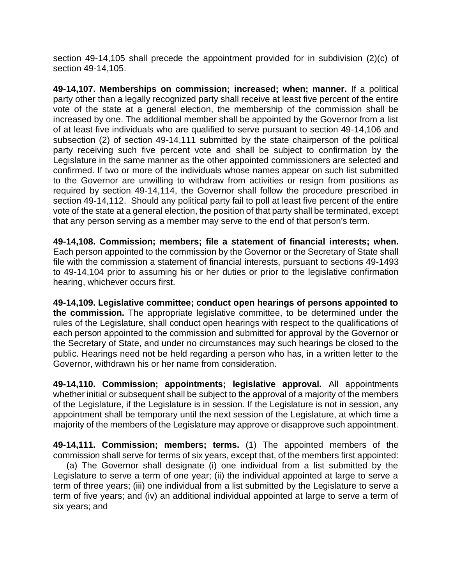section 49-14,105 shall precede the appointment provided for in subdivision (2)(c) of section 49-14,105.

**49-14,107. Memberships on commission; increased; when; manner.** If a political party other than a legally recognized party shall receive at least five percent of the entire vote of the state at a general election, the membership of the commission shall be increased by one. The additional member shall be appointed by the Governor from a list of at least five individuals who are qualified to serve pursuant to section 49-14,106 and subsection (2) of section 49-14,111 submitted by the state chairperson of the political party receiving such five percent vote and shall be subject to confirmation by the Legislature in the same manner as the other appointed commissioners are selected and confirmed. If two or more of the individuals whose names appear on such list submitted to the Governor are unwilling to withdraw from activities or resign from positions as required by section 49-14,114, the Governor shall follow the procedure prescribed in section 49-14,112. Should any political party fail to poll at least five percent of the entire vote of the state at a general election, the position of that party shall be terminated, except that any person serving as a member may serve to the end of that person's term.

**49-14,108. Commission; members; file a statement of financial interests; when.** Each person appointed to the commission by the Governor or the Secretary of State shall file with the commission a statement of financial interests, pursuant to sections 49-1493 to 49-14,104 prior to assuming his or her duties or prior to the legislative confirmation hearing, whichever occurs first.

**49-14,109. Legislative committee; conduct open hearings of persons appointed to the commission.** The appropriate legislative committee, to be determined under the rules of the Legislature, shall conduct open hearings with respect to the qualifications of each person appointed to the commission and submitted for approval by the Governor or the Secretary of State, and under no circumstances may such hearings be closed to the public. Hearings need not be held regarding a person who has, in a written letter to the Governor, withdrawn his or her name from consideration.

**49-14,110. Commission; appointments; legislative approval.** All appointments whether initial or subsequent shall be subject to the approval of a majority of the members of the Legislature, if the Legislature is in session. If the Legislature is not in session, any appointment shall be temporary until the next session of the Legislature, at which time a majority of the members of the Legislature may approve or disapprove such appointment.

**49-14,111. Commission; members; terms.** (1) The appointed members of the commission shall serve for terms of six years, except that, of the members first appointed:

(a) The Governor shall designate (i) one individual from a list submitted by the Legislature to serve a term of one year; (ii) the individual appointed at large to serve a term of three years; (iii) one individual from a list submitted by the Legislature to serve a term of five years; and (iv) an additional individual appointed at large to serve a term of six years; and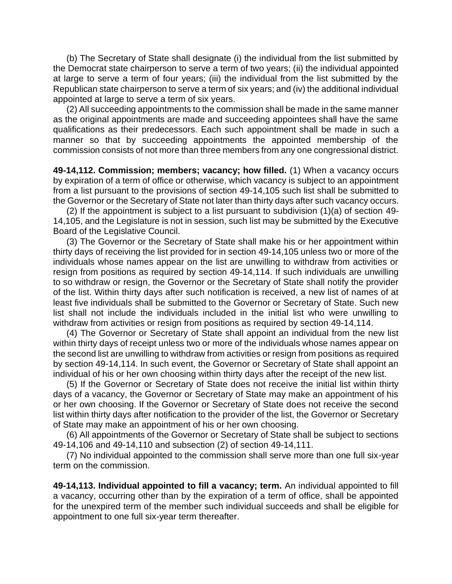(b) The Secretary of State shall designate (i) the individual from the list submitted by the Democrat state chairperson to serve a term of two years; (ii) the individual appointed at large to serve a term of four years; (iii) the individual from the list submitted by the Republican state chairperson to serve a term of six years; and (iv) the additional individual appointed at large to serve a term of six years.

(2) All succeeding appointments to the commission shall be made in the same manner as the original appointments are made and succeeding appointees shall have the same qualifications as their predecessors. Each such appointment shall be made in such a manner so that by succeeding appointments the appointed membership of the commission consists of not more than three members from any one congressional district.

**49-14,112. Commission; members; vacancy; how filled.** (1) When a vacancy occurs by expiration of a term of office or otherwise, which vacancy is subject to an appointment from a list pursuant to the provisions of section 49-14,105 such list shall be submitted to the Governor or the Secretary of State not later than thirty days after such vacancy occurs.

(2) If the appointment is subject to a list pursuant to subdivision (1)(a) of section 49- 14,105, and the Legislature is not in session, such list may be submitted by the Executive Board of the Legislative Council.

(3) The Governor or the Secretary of State shall make his or her appointment within thirty days of receiving the list provided for in section 49-14,105 unless two or more of the individuals whose names appear on the list are unwilling to withdraw from activities or resign from positions as required by section 49-14,114. If such individuals are unwilling to so withdraw or resign, the Governor or the Secretary of State shall notify the provider of the list. Within thirty days after such notification is received, a new list of names of at least five individuals shall be submitted to the Governor or Secretary of State. Such new list shall not include the individuals included in the initial list who were unwilling to withdraw from activities or resign from positions as required by section 49-14,114.

(4) The Governor or Secretary of State shall appoint an individual from the new list within thirty days of receipt unless two or more of the individuals whose names appear on the second list are unwilling to withdraw from activities or resign from positions as required by section 49-14,114. In such event, the Governor or Secretary of State shall appoint an individual of his or her own choosing within thirty days after the receipt of the new list.

(5) If the Governor or Secretary of State does not receive the initial list within thirty days of a vacancy, the Governor or Secretary of State may make an appointment of his or her own choosing. If the Governor or Secretary of State does not receive the second list within thirty days after notification to the provider of the list, the Governor or Secretary of State may make an appointment of his or her own choosing.

(6) All appointments of the Governor or Secretary of State shall be subject to sections 49-14,106 and 49-14,110 and subsection (2) of section 49-14,111.

(7) No individual appointed to the commission shall serve more than one full six-year term on the commission.

**49-14,113. Individual appointed to fill a vacancy; term.** An individual appointed to fill a vacancy, occurring other than by the expiration of a term of office, shall be appointed for the unexpired term of the member such individual succeeds and shall be eligible for appointment to one full six-year term thereafter.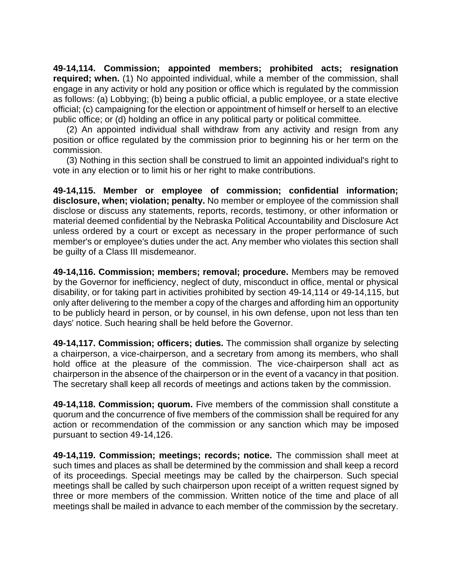**49-14,114. Commission; appointed members; prohibited acts; resignation required; when.** (1) No appointed individual, while a member of the commission, shall engage in any activity or hold any position or office which is regulated by the commission as follows: (a) Lobbying; (b) being a public official, a public employee, or a state elective official; (c) campaigning for the election or appointment of himself or herself to an elective public office; or (d) holding an office in any political party or political committee.

(2) An appointed individual shall withdraw from any activity and resign from any position or office regulated by the commission prior to beginning his or her term on the commission.

(3) Nothing in this section shall be construed to limit an appointed individual's right to vote in any election or to limit his or her right to make contributions.

**49-14,115. Member or employee of commission; confidential information; disclosure, when; violation; penalty.** No member or employee of the commission shall disclose or discuss any statements, reports, records, testimony, or other information or material deemed confidential by the Nebraska Political Accountability and Disclosure Act unless ordered by a court or except as necessary in the proper performance of such member's or employee's duties under the act. Any member who violates this section shall be guilty of a Class III misdemeanor.

**49-14,116. Commission; members; removal; procedure.** Members may be removed by the Governor for inefficiency, neglect of duty, misconduct in office, mental or physical disability, or for taking part in activities prohibited by section 49-14,114 or 49-14,115, but only after delivering to the member a copy of the charges and affording him an opportunity to be publicly heard in person, or by counsel, in his own defense, upon not less than ten days' notice. Such hearing shall be held before the Governor.

**49-14,117. Commission; officers; duties.** The commission shall organize by selecting a chairperson, a vice-chairperson, and a secretary from among its members, who shall hold office at the pleasure of the commission. The vice-chairperson shall act as chairperson in the absence of the chairperson or in the event of a vacancy in that position. The secretary shall keep all records of meetings and actions taken by the commission.

**49-14,118. Commission; quorum.** Five members of the commission shall constitute a quorum and the concurrence of five members of the commission shall be required for any action or recommendation of the commission or any sanction which may be imposed pursuant to section 49-14,126.

**49-14,119. Commission; meetings; records; notice.** The commission shall meet at such times and places as shall be determined by the commission and shall keep a record of its proceedings. Special meetings may be called by the chairperson. Such special meetings shall be called by such chairperson upon receipt of a written request signed by three or more members of the commission. Written notice of the time and place of all meetings shall be mailed in advance to each member of the commission by the secretary.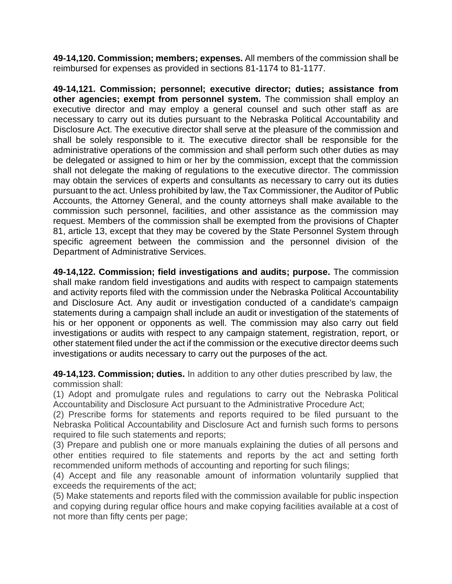**49-14,120. Commission; members; expenses.** All members of the commission shall be reimbursed for expenses as provided in sections 81-1174 to 81-1177.

**49-14,121. Commission; personnel; executive director; duties; assistance from other agencies; exempt from personnel system.** The commission shall employ an executive director and may employ a general counsel and such other staff as are necessary to carry out its duties pursuant to the Nebraska Political Accountability and Disclosure Act. The executive director shall serve at the pleasure of the commission and shall be solely responsible to it. The executive director shall be responsible for the administrative operations of the commission and shall perform such other duties as may be delegated or assigned to him or her by the commission, except that the commission shall not delegate the making of regulations to the executive director. The commission may obtain the services of experts and consultants as necessary to carry out its duties pursuant to the act. Unless prohibited by law, the Tax Commissioner, the Auditor of Public Accounts, the Attorney General, and the county attorneys shall make available to the commission such personnel, facilities, and other assistance as the commission may request. Members of the commission shall be exempted from the provisions of Chapter 81, article 13, except that they may be covered by the State Personnel System through specific agreement between the commission and the personnel division of the Department of Administrative Services.

**49-14,122. Commission; field investigations and audits; purpose.** The commission shall make random field investigations and audits with respect to campaign statements and activity reports filed with the commission under the Nebraska Political Accountability and Disclosure Act. Any audit or investigation conducted of a candidate's campaign statements during a campaign shall include an audit or investigation of the statements of his or her opponent or opponents as well. The commission may also carry out field investigations or audits with respect to any campaign statement, registration, report, or other statement filed under the act if the commission or the executive director deems such investigations or audits necessary to carry out the purposes of the act.

**49-14,123. Commission; duties.** In addition to any other duties prescribed by law, the commission shall:

(1) Adopt and promulgate rules and regulations to carry out the Nebraska Political Accountability and Disclosure Act pursuant to the Administrative Procedure Act;

(2) Prescribe forms for statements and reports required to be filed pursuant to the Nebraska Political Accountability and Disclosure Act and furnish such forms to persons required to file such statements and reports;

(3) Prepare and publish one or more manuals explaining the duties of all persons and other entities required to file statements and reports by the act and setting forth recommended uniform methods of accounting and reporting for such filings;

(4) Accept and file any reasonable amount of information voluntarily supplied that exceeds the requirements of the act;

(5) Make statements and reports filed with the commission available for public inspection and copying during regular office hours and make copying facilities available at a cost of not more than fifty cents per page;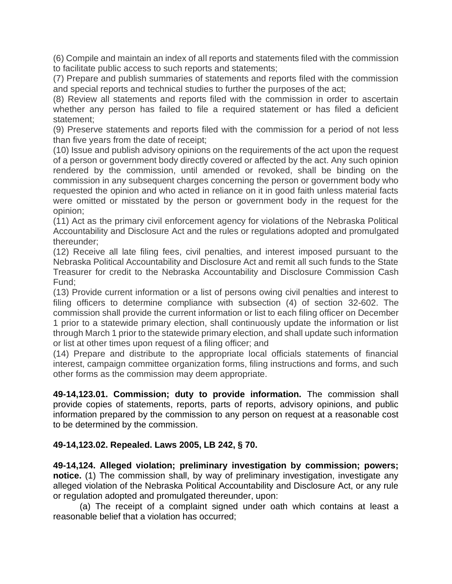(6) Compile and maintain an index of all reports and statements filed with the commission to facilitate public access to such reports and statements;

(7) Prepare and publish summaries of statements and reports filed with the commission and special reports and technical studies to further the purposes of the act;

(8) Review all statements and reports filed with the commission in order to ascertain whether any person has failed to file a required statement or has filed a deficient statement;

(9) Preserve statements and reports filed with the commission for a period of not less than five years from the date of receipt;

(10) Issue and publish advisory opinions on the requirements of the act upon the request of a person or government body directly covered or affected by the act. Any such opinion rendered by the commission, until amended or revoked, shall be binding on the commission in any subsequent charges concerning the person or government body who requested the opinion and who acted in reliance on it in good faith unless material facts were omitted or misstated by the person or government body in the request for the opinion;

(11) Act as the primary civil enforcement agency for violations of the Nebraska Political Accountability and Disclosure Act and the rules or regulations adopted and promulgated thereunder;

(12) Receive all late filing fees, civil penalties, and interest imposed pursuant to the Nebraska Political Accountability and Disclosure Act and remit all such funds to the State Treasurer for credit to the Nebraska Accountability and Disclosure Commission Cash Fund;

(13) Provide current information or a list of persons owing civil penalties and interest to filing officers to determine compliance with subsection (4) of section 32-602. The commission shall provide the current information or list to each filing officer on December 1 prior to a statewide primary election, shall continuously update the information or list through March 1 prior to the statewide primary election, and shall update such information or list at other times upon request of a filing officer; and

(14) Prepare and distribute to the appropriate local officials statements of financial interest, campaign committee organization forms, filing instructions and forms, and such other forms as the commission may deem appropriate.

**49-14,123.01. Commission; duty to provide information.** The commission shall provide copies of statements, reports, parts of reports, advisory opinions, and public information prepared by the commission to any person on request at a reasonable cost to be determined by the commission.

# **49-14,123.02. Repealed. Laws 2005, LB 242, § 70.**

**49-14,124. Alleged violation; preliminary investigation by commission; powers; notice.** (1) The commission shall, by way of preliminary investigation, investigate any alleged violation of the Nebraska Political Accountability and Disclosure Act, or any rule or regulation adopted and promulgated thereunder, upon:

(a) The receipt of a complaint signed under oath which contains at least a reasonable belief that a violation has occurred;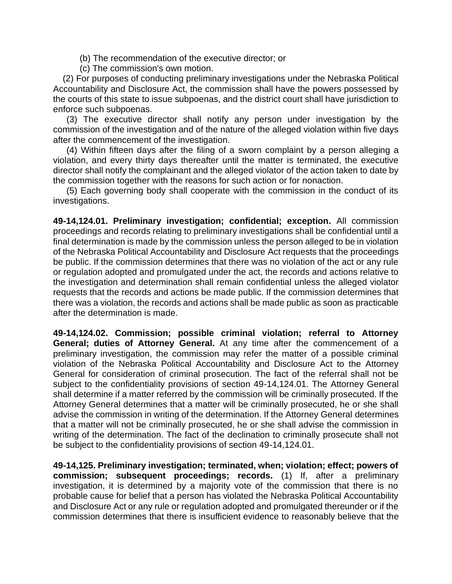- (b) The recommendation of the executive director; or
- (c) The commission's own motion.

 (2) For purposes of conducting preliminary investigations under the Nebraska Political Accountability and Disclosure Act, the commission shall have the powers possessed by the courts of this state to issue subpoenas, and the district court shall have jurisdiction to enforce such subpoenas.

(3) The executive director shall notify any person under investigation by the commission of the investigation and of the nature of the alleged violation within five days after the commencement of the investigation.

(4) Within fifteen days after the filing of a sworn complaint by a person alleging a violation, and every thirty days thereafter until the matter is terminated, the executive director shall notify the complainant and the alleged violator of the action taken to date by the commission together with the reasons for such action or for nonaction.

(5) Each governing body shall cooperate with the commission in the conduct of its investigations.

**49-14,124.01. Preliminary investigation; confidential; exception.** All commission proceedings and records relating to preliminary investigations shall be confidential until a final determination is made by the commission unless the person alleged to be in violation of the Nebraska Political Accountability and Disclosure Act requests that the proceedings be public. If the commission determines that there was no violation of the act or any rule or regulation adopted and promulgated under the act, the records and actions relative to the investigation and determination shall remain confidential unless the alleged violator requests that the records and actions be made public. If the commission determines that there was a violation, the records and actions shall be made public as soon as practicable after the determination is made.

**49-14,124.02. Commission; possible criminal violation; referral to Attorney General; duties of Attorney General.** At any time after the commencement of a preliminary investigation, the commission may refer the matter of a possible criminal violation of the Nebraska Political Accountability and Disclosure Act to the Attorney General for consideration of criminal prosecution. The fact of the referral shall not be subject to the confidentiality provisions of section 49-14,124.01. The Attorney General shall determine if a matter referred by the commission will be criminally prosecuted. If the Attorney General determines that a matter will be criminally prosecuted, he or she shall advise the commission in writing of the determination. If the Attorney General determines that a matter will not be criminally prosecuted, he or she shall advise the commission in writing of the determination. The fact of the declination to criminally prosecute shall not be subject to the confidentiality provisions of section 49-14,124.01.

**49-14,125. Preliminary investigation; terminated, when; violation; effect; powers of commission; subsequent proceedings; records.** (1) If, after a preliminary investigation, it is determined by a majority vote of the commission that there is no probable cause for belief that a person has violated the Nebraska Political Accountability and Disclosure Act or any rule or regulation adopted and promulgated thereunder or if the commission determines that there is insufficient evidence to reasonably believe that the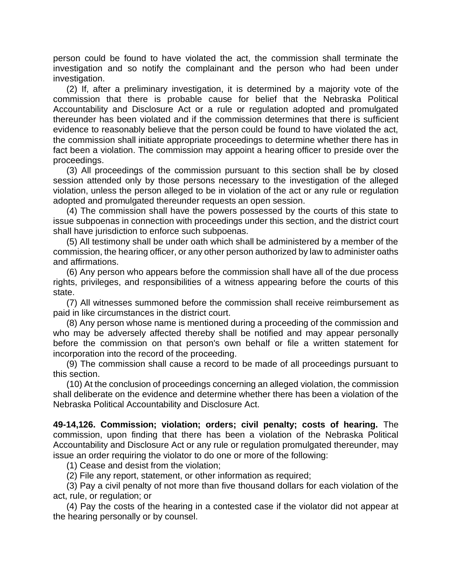person could be found to have violated the act, the commission shall terminate the investigation and so notify the complainant and the person who had been under investigation.

(2) If, after a preliminary investigation, it is determined by a majority vote of the commission that there is probable cause for belief that the Nebraska Political Accountability and Disclosure Act or a rule or regulation adopted and promulgated thereunder has been violated and if the commission determines that there is sufficient evidence to reasonably believe that the person could be found to have violated the act, the commission shall initiate appropriate proceedings to determine whether there has in fact been a violation. The commission may appoint a hearing officer to preside over the proceedings.

(3) All proceedings of the commission pursuant to this section shall be by closed session attended only by those persons necessary to the investigation of the alleged violation, unless the person alleged to be in violation of the act or any rule or regulation adopted and promulgated thereunder requests an open session.

(4) The commission shall have the powers possessed by the courts of this state to issue subpoenas in connection with proceedings under this section, and the district court shall have jurisdiction to enforce such subpoenas.

(5) All testimony shall be under oath which shall be administered by a member of the commission, the hearing officer, or any other person authorized by law to administer oaths and affirmations.

(6) Any person who appears before the commission shall have all of the due process rights, privileges, and responsibilities of a witness appearing before the courts of this state.

(7) All witnesses summoned before the commission shall receive reimbursement as paid in like circumstances in the district court.

(8) Any person whose name is mentioned during a proceeding of the commission and who may be adversely affected thereby shall be notified and may appear personally before the commission on that person's own behalf or file a written statement for incorporation into the record of the proceeding.

(9) The commission shall cause a record to be made of all proceedings pursuant to this section.

(10) At the conclusion of proceedings concerning an alleged violation, the commission shall deliberate on the evidence and determine whether there has been a violation of the Nebraska Political Accountability and Disclosure Act.

**49-14,126. Commission; violation; orders; civil penalty; costs of hearing.** The commission, upon finding that there has been a violation of the Nebraska Political Accountability and Disclosure Act or any rule or regulation promulgated thereunder, may issue an order requiring the violator to do one or more of the following:

(1) Cease and desist from the violation;

(2) File any report, statement, or other information as required;

(3) Pay a civil penalty of not more than five thousand dollars for each violation of the act, rule, or regulation; or

(4) Pay the costs of the hearing in a contested case if the violator did not appear at the hearing personally or by counsel.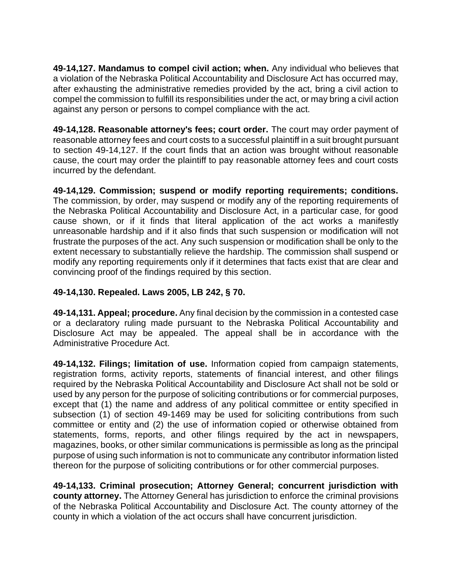**49-14,127. Mandamus to compel civil action; when.** Any individual who believes that a violation of the Nebraska Political Accountability and Disclosure Act has occurred may, after exhausting the administrative remedies provided by the act, bring a civil action to compel the commission to fulfill its responsibilities under the act, or may bring a civil action against any person or persons to compel compliance with the act.

**49-14,128. Reasonable attorney's fees; court order.** The court may order payment of reasonable attorney fees and court costs to a successful plaintiff in a suit brought pursuant to section 49-14,127. If the court finds that an action was brought without reasonable cause, the court may order the plaintiff to pay reasonable attorney fees and court costs incurred by the defendant.

**49-14,129. Commission; suspend or modify reporting requirements; conditions.** The commission, by order, may suspend or modify any of the reporting requirements of the Nebraska Political Accountability and Disclosure Act, in a particular case, for good cause shown, or if it finds that literal application of the act works a manifestly unreasonable hardship and if it also finds that such suspension or modification will not frustrate the purposes of the act. Any such suspension or modification shall be only to the extent necessary to substantially relieve the hardship. The commission shall suspend or modify any reporting requirements only if it determines that facts exist that are clear and convincing proof of the findings required by this section.

# **49-14,130. Repealed. Laws 2005, LB 242, § 70.**

**49-14,131. Appeal; procedure.** Any final decision by the commission in a contested case or a declaratory ruling made pursuant to the Nebraska Political Accountability and Disclosure Act may be appealed. The appeal shall be in accordance with the Administrative Procedure Act.

**49-14,132. Filings; limitation of use.** Information copied from campaign statements, registration forms, activity reports, statements of financial interest, and other filings required by the Nebraska Political Accountability and Disclosure Act shall not be sold or used by any person for the purpose of soliciting contributions or for commercial purposes, except that (1) the name and address of any political committee or entity specified in subsection (1) of section 49-1469 may be used for soliciting contributions from such committee or entity and (2) the use of information copied or otherwise obtained from statements, forms, reports, and other filings required by the act in newspapers, magazines, books, or other similar communications is permissible as long as the principal purpose of using such information is not to communicate any contributor information listed thereon for the purpose of soliciting contributions or for other commercial purposes.

**49-14,133. Criminal prosecution; Attorney General; concurrent jurisdiction with county attorney.** The Attorney General has jurisdiction to enforce the criminal provisions of the Nebraska Political Accountability and Disclosure Act. The county attorney of the county in which a violation of the act occurs shall have concurrent jurisdiction.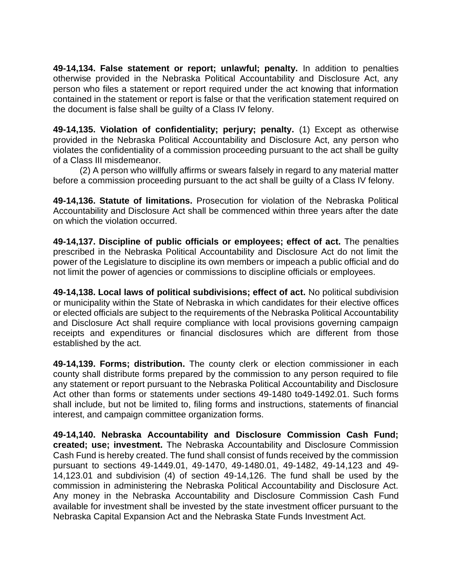**49-14,134. False statement or report; unlawful; penalty.** In addition to penalties otherwise provided in the Nebraska Political Accountability and Disclosure Act, any person who files a statement or report required under the act knowing that information contained in the statement or report is false or that the verification statement required on the document is false shall be guilty of a Class IV felony.

**49-14,135. Violation of confidentiality; perjury; penalty.** (1) Except as otherwise provided in the Nebraska Political Accountability and Disclosure Act, any person who violates the confidentiality of a commission proceeding pursuant to the act shall be guilty of a Class III misdemeanor.

(2) A person who willfully affirms or swears falsely in regard to any material matter before a commission proceeding pursuant to the act shall be guilty of a Class IV felony.

**49-14,136. Statute of limitations.** Prosecution for violation of the Nebraska Political Accountability and Disclosure Act shall be commenced within three years after the date on which the violation occurred.

**49-14,137. Discipline of public officials or employees; effect of act.** The penalties prescribed in the Nebraska Political Accountability and Disclosure Act do not limit the power of the Legislature to discipline its own members or impeach a public official and do not limit the power of agencies or commissions to discipline officials or employees.

**49-14,138. Local laws of political subdivisions; effect of act.** No political subdivision or municipality within the State of Nebraska in which candidates for their elective offices or elected officials are subject to the requirements of the Nebraska Political Accountability and Disclosure Act shall require compliance with local provisions governing campaign receipts and expenditures or financial disclosures which are different from those established by the act.

**49-14,139. Forms; distribution.** The county clerk or election commissioner in each county shall distribute forms prepared by the commission to any person required to file any statement or report pursuant to the Nebraska Political Accountability and Disclosure Act other than forms or statements under sections 49-1480 to49-1492.01. Such forms shall include, but not be limited to, filing forms and instructions, statements of financial interest, and campaign committee organization forms.

**49-14,140. Nebraska Accountability and Disclosure Commission Cash Fund; created; use; investment.** The Nebraska Accountability and Disclosure Commission Cash Fund is hereby created. The fund shall consist of funds received by the commission pursuant to sections 49-1449.01, 49-1470, 49-1480.01, 49-1482, 49-14,123 and 49- 14,123.01 and subdivision (4) of section 49-14,126. The fund shall be used by the commission in administering the Nebraska Political Accountability and Disclosure Act. Any money in the Nebraska Accountability and Disclosure Commission Cash Fund available for investment shall be invested by the state investment officer pursuant to the Nebraska Capital Expansion Act and the Nebraska State Funds Investment Act.